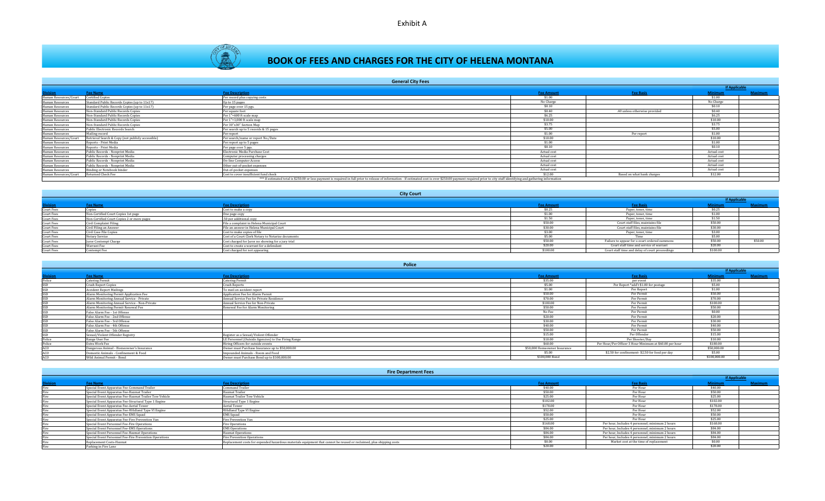



# **BOOK OF FEES AND CHARGES FOR THE CITY OF HELENA MONTANA**

|                       | <b>General City Fees</b>                          |                                                                                                                                                                                                                        |                   |                               |                      |                |
|-----------------------|---------------------------------------------------|------------------------------------------------------------------------------------------------------------------------------------------------------------------------------------------------------------------------|-------------------|-------------------------------|----------------------|----------------|
|                       |                                                   |                                                                                                                                                                                                                        |                   |                               | <b>If Applicable</b> |                |
| <b>Division</b>       | <b>Fee Name</b>                                   | <b>Fee Description</b>                                                                                                                                                                                                 | <b>Fee Amount</b> | <b>Fee Basis</b>              | <b>Minimum</b>       | <b>Maximum</b> |
| Human Resources/Court | <b>Certified Copies</b>                           | Per record plus copying costs                                                                                                                                                                                          | \$1.00            |                               | \$1.00               |                |
| Human Resources       | Standard Public Records Copies (up to 11x17)      | Up to 15 pages                                                                                                                                                                                                         | No Charge         |                               | No Charge            |                |
| Human Resources       | Standard Public Records Copies (up to 11x17)      | Per page over 15 pgs.                                                                                                                                                                                                  | \$0.10            |                               | \$0.10               |                |
| Human Resources       | Non-Standard Public Records Copies                | Per square foot                                                                                                                                                                                                        | \$0.40            | .40 unless otherwise provided | \$0.40               |                |
| Human Resources       | Non-Standard Public Records Copies                | Per 1"=600 ft scale map                                                                                                                                                                                                | \$6.25            |                               | \$6.25               |                |
| Human Resources       | Non-Standard Public Records Copies                | Per 1"=1,000 ft scale map                                                                                                                                                                                              | \$10.00           |                               | \$10.00              |                |
| Human Resources       | Non-Standard Public Records Copies                | Per 30"x30" Section Map                                                                                                                                                                                                | \$3.75            |                               | \$3.75               |                |
| Human Resources       | Public Electronic Records Search                  | Per search up to 5 records & 15 pages                                                                                                                                                                                  | \$5.00            |                               | \$5.00               |                |
| Human Resources       | Mailing record                                    | Per report                                                                                                                                                                                                             | \$1.00            | Per report                    | \$1.00               |                |
| Human Resources/Court | Retrieval Search & Copy (not publicly accessible) | Per search/name or report No./Date                                                                                                                                                                                     | \$10.00           |                               | \$10.00              |                |
| Human Resources       | Reports - Print Media                             | Per report up to 5 pages                                                                                                                                                                                               | \$1.00            |                               | \$1.00               |                |
| Human Resources       | Reports - Print Media                             | Per page over 5 pgs.                                                                                                                                                                                                   | \$0.10            |                               | \$0.10               |                |
| Human Resources       | Public Records - Nonprint Media                   | Electronic Media Purchase Cost                                                                                                                                                                                         | Actual cost       |                               | Actual cost          |                |
| Human Resources       | Public Records - Nonprint Media                   | Computer processing charges                                                                                                                                                                                            | Actual cost       |                               | Actual cost          |                |
| Human Resources       | Public Records - Nonprint Media                   | <b>On-line Computer Access</b>                                                                                                                                                                                         | Actual cost       |                               | Actual cost          |                |
| Human Resources       | Public Records - Nonprint Media                   | Other out-of-pocket expenses                                                                                                                                                                                           | Actual cost       |                               | Actual cost          |                |
| Human Resources       | Binding or Notebook binder                        | Out-of-pocket expenses                                                                                                                                                                                                 | Actual cost       |                               | Actual cost          |                |
| Human Resources/Court | Returned Check Fee                                | Cost to cover insufficient fund check                                                                                                                                                                                  | \$12.00           | Based on what bank charges    | \$12.00              |                |
|                       |                                                   | *** If estimated total is \$250.00 or less payment is required in full prior to release of information - If estimated cost is over \$250.00 payment required prior to city staff identifying and gathering information |                   |                               |                      |                |

**Division Fee Name Fee Description Fee Amount Fee Basis Minimum Maximum** Court Fees Copies Cost to make a copy (Cost to make a copy cost to make a copy of the cost of the cost of the cost of the cost of the cost of the cost of the cost of the cost of the cost of the cost of the s0.25 Paper, ton Court Fees Non-Certified Court Copies 1st page **2000** One page copy **Depart on the Court Court Court Court Court Court Court Court Court Court Court Court Court Court Court Court Court Court Court Court Court Court Court C** Court Fees Non-Certified Court Copies 2 or more pages .50 per additional copy \$1.50 Paper, toner, time \$1.50 Court Fees Civil Complaint Filing File a complaint in Helena Municipal Court **File a complaint in Helena Municipal Court** SSU.00 Court Fees Civil Filing an Answer File an answer in Helena Municipal Court **File an answer in Helena Municipal Court S** Court Fees Civil Case File Copies Cost to make copies of file (Sost to make copies of file Cost to make copies of file S3.00 Paper, toner, time \$3.00 Paper, toner, time \$3.00 Court Fees Notary Service Cost of a Court Clerk Notary to Notarize documents \$5.00 Time \$5.00 Court Fees Juror Contempt Charge Cost charge Cost charged for Juror no showing for a jury trial \$50.00 Failure to appear for a court ordered summons \$50.00 \$50.00 \$50.00 \$50.00 \$50.00 \$50.00 \$50.00 \$50.00 \$50.00 \$50.00 \$50 Court Fees Warrant Fee Cost to create a warrant for a defendant S20.00 Court staff time and service of warrant S20.00 Court Fees Cost charged for not appearing Cost charged for not appearing S100.00 Court staff time and delay of court proceedings \$100.00 **City Court If Applicable**

#### **Police**

|                 |                                               |                                                     |                              |                                                         |                | <b>If Applicable</b> |  |
|-----------------|-----------------------------------------------|-----------------------------------------------------|------------------------------|---------------------------------------------------------|----------------|----------------------|--|
| <b>Division</b> | <b>Fee Name</b>                               | <b>Fee Description</b>                              | <b>Fee Amount</b>            | <b>Fee Basis</b>                                        | <b>Minimum</b> | Maximum              |  |
| Police          | <b>Catering Permit</b>                        | <b>Catering Permit</b>                              | \$35.00                      | per event                                               | \$35.00        |                      |  |
|                 | Crash Report Copies                           | <b>Crash Reports</b>                                | \$5.00                       | Per Report *add't \$1.00 for postage                    | \$5.00         |                      |  |
|                 | <b>Accident Report Mailings</b>               | To mail an accident report                          | \$1.00                       | Per Report                                              | \$1.00         |                      |  |
|                 | Alarm Monitoring Permit Application Fee       | Application Fee for Alarm Permit                    | \$50.00                      | Per Permit                                              | \$50.00        |                      |  |
|                 | Alarm Monitoring Annual Service - Private     | Annual Service Fee for Private Residence            | \$70.00                      | Per Permit                                              | \$70.00        |                      |  |
|                 | Alarm Monitoring Annual Service - Non-Private | Annual Service Fee for Non-Private                  | \$100.00                     | Per Permit                                              | \$100.00       |                      |  |
|                 | Alarm Monitoring Permit Renewal Fee           | Renewal Fee for Alarm Monitoring                    | \$50.00                      | Per Permit                                              | \$50.00        |                      |  |
|                 | False Alarm Fee - 1st Offense                 |                                                     | No Fee                       | Per Permit                                              | \$0.00         |                      |  |
|                 | False Alarm Fee - 2nd Offense                 |                                                     | \$20.00                      | Per Permit                                              | \$20.00        |                      |  |
|                 | False Alarm Fee - 3rd Offense                 |                                                     | \$30.00                      | Per Permit                                              | \$30.00        |                      |  |
|                 | False Alarm Fee - 4th Offense                 |                                                     | \$40.00                      | Per Permit                                              | \$40.00        |                      |  |
|                 | False Alarm Fee - 5th Offense                 |                                                     | \$50.00                      | Per Permit                                              | \$50.00        |                      |  |
|                 | Sexual/Violent Offender Registry              | Register as a Sexual/Violent Offender               | \$15.00                      | Per Offender                                            | \$15.00        |                      |  |
| Police          | Range User Fee                                | LE Personnel (Outside Agencies) to Use Firing Range | \$10.00                      | Per Shooter/Day                                         | \$10.00        |                      |  |
| Police          | Extra Work Fee                                | Hiring Officers for outside events                  | \$60.00                      | Per Hour/Per Officer 3 Hour Minimum at \$60.00 per hour | \$180.00       |                      |  |
| ACO.            | Dangerous Animal - Homeowner's Insurance      | Owner must Purchase Insurance up to \$50,000.00     | \$50,000 Homeowner Insurance |                                                         | \$50,000.00    |                      |  |
| ACO             | Domestic Animals - Confinement & Food         | Impounded Animals - Room and Food                   | \$5.00                       | \$2.50 for confinement-\$2.50 for food per day          | \$5.00         |                      |  |
| ACO             | Wild Animal Permit - Bond                     | Owner must Purchase Bond up to \$100,000.00         | \$100,000 Bond               |                                                         | \$100,000,00   |                      |  |
|                 |                                               |                                                     |                              |                                                         |                |                      |  |

| <b>Fire Department Fees</b>                            |                                                                                                                      |                   |                                                 |                      |         |  |
|--------------------------------------------------------|----------------------------------------------------------------------------------------------------------------------|-------------------|-------------------------------------------------|----------------------|---------|--|
|                                                        |                                                                                                                      |                   |                                                 | <b>If Applicable</b> |         |  |
| <b>Fee Name</b>                                        | <b>Fee Description</b>                                                                                               | <b>Fee Amount</b> | <b>Fee Basis</b>                                | Minimum              | laximum |  |
| Special Event Apparatus Fee-Command Trailer            | Command Trailer                                                                                                      | \$40.00           | Per Hour                                        | \$40.00              |         |  |
| Special Event Apparatus Fee-Hazmat Trailer             | Iazmat Trailer                                                                                                       | \$50.00           | Per Hour                                        | \$50.00              |         |  |
| Special Event Apparatus Fee-Hazmat Trailer Tow Vehicle | Hazmat Trailer Tow Vehicle                                                                                           | \$25.00           | Per Hour                                        | \$25.00              |         |  |
| Special Event Apparatus Fee-Structural Type 1 Engine   | Structural Type 1 Engine                                                                                             | \$102.00          | Per Hour                                        | \$102.00             |         |  |
| Special Event Apparatus Fee-Aerial Tower               | Aerial Tower                                                                                                         | \$178.00          | Per Hour                                        | \$178.00             |         |  |
| Special Event Apparatus Fee-Wildland Type VI Engine    | Wildland Type VI Engine                                                                                              | \$52.00           | Per Hour                                        | \$52.00              |         |  |
| Special Event Apparatus Fee-EMS Squad                  | <b>EMS</b> Squad                                                                                                     | \$50.00           | Per Hour                                        | \$50.00              |         |  |
| Special Event Apparatus Fee-Fire Prevention Van        | Fire Prevention Van                                                                                                  | \$25.00           | Per Hour                                        | \$25.00              |         |  |
| Special Event Personnel Fee-Fire Operations            | Fire Operations                                                                                                      | \$168.00          | Per hour, Includes 4 personnel; minimum 2 hours | \$168.00             |         |  |
| Special Event Personnel Fee-EMS Operations             | <b>EMS</b> Operations                                                                                                | \$84.00           | Per hour, Includes 4 personnel; minimum 2 hours | \$84.00              |         |  |
| Special Event Personnel Fee-Hazmat Operations          | Hazmat Operations                                                                                                    | \$84.00           | Per hour, Includes 4 personnel; minimum 2 hours | \$84.00              |         |  |
| Special Event Personnel Fee-Fire Prevention Operations | <b>Fire Prevention Operations</b>                                                                                    | \$84.00           | Per hour, Includes 4 personnel; minimum 2 hours | \$84.00              |         |  |
| Replacement Costs-Hazmat                               | Replacement costs for expended hazardous materials equipment that cannot be reused or reclaimed, plus shipping costs | \$0.00            | Market cost at the time of replacement          | \$0.00               |         |  |
| Parking in Fire Lane                                   |                                                                                                                      | \$20.00           |                                                 | \$20.00              |         |  |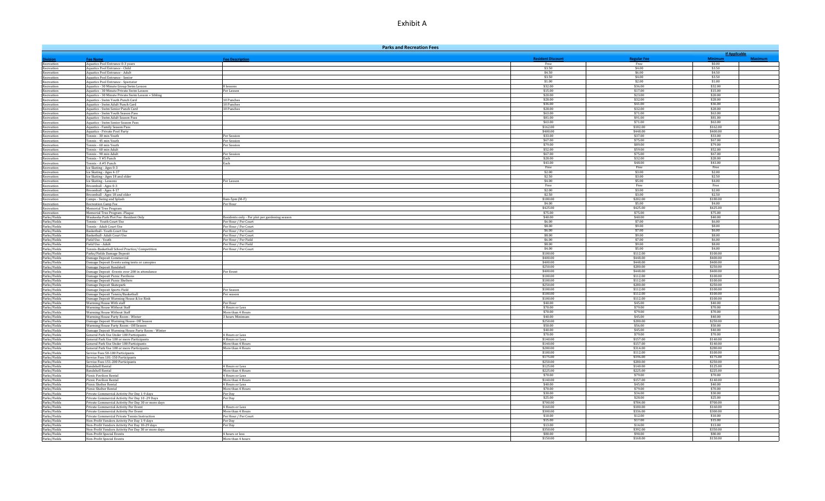|                              | <b>Parks and Recreation Fees</b>                                                                      |                                                |                      |                      |                        |  |
|------------------------------|-------------------------------------------------------------------------------------------------------|------------------------------------------------|----------------------|----------------------|------------------------|--|
|                              |                                                                                                       |                                                |                      |                      | <b>If Applicable</b>   |  |
|                              | <b>Fee Name</b>                                                                                       | <b>Fee Description</b>                         | <b>Resident Dis</b>  | <b>Regular Fee</b>   | <b>Minim</b><br>\$0.00 |  |
| Recreation<br>Recreation     | Aquatics Pool Entrance 0-3 years<br>Aquatics Pool Entrance - Child                                    |                                                | Free<br>\$3.50       | Free<br>\$4.00       | \$3.50                 |  |
| Recreation                   | Aquatics Pool Entrance - Adult                                                                        |                                                | \$4.50               | \$6.00               | \$4.50                 |  |
| Recreation                   | Aquatics Pool Entrance - Senior                                                                       |                                                | \$3.50               | \$4.00               | \$3.50                 |  |
| Recreation                   | Aquatics Pool Entrance - Spectator                                                                    |                                                | \$1.00<br>\$32.00    | \$2.00<br>\$36.00    | \$1.00<br>\$32.00      |  |
| Recreation<br>Recreation     | Aquatics - 30 Minute Group Swim Lesson<br>Aquatics - 30 Minute Private Swim Lesson                    | 8 lessons<br>Per Lesson                        | \$15.00              | \$17.00              | \$15.00                |  |
| Recreation                   | Aquatics - 30 Minute Private Swim Lesson + Sibling                                                    |                                                | \$20.00              | \$23.00              | \$20.00                |  |
| Recreation                   | Aquatics - Swim Youth Punch Card                                                                      | 10 Punches                                     | \$28.00              | \$32.00              | \$28.00                |  |
| Recreation                   | Aquatics - Swim Adult Punch Card                                                                      | 10 Punches                                     | \$36.00              | \$41.00<br>\$32.00   | \$36.00<br>\$28.00     |  |
| Recreation<br>Recreation     | Aquatics - Swim Senior Punch Card<br>Aquatics - Swim Youth Season Pass                                | 10 Punches                                     | \$28.00<br>\$63.00   | \$71.00              | \$63.00                |  |
| Recreation                   | Aquatics - Swim Adult Season Pass                                                                     |                                                | \$81.00              | \$91.00              | \$81.00                |  |
| Recreation                   | Aquatics - Swim Senior Season Pass                                                                    |                                                | \$63.00              | \$71.00              | \$63.00                |  |
| Recreation                   | Aquatics - Family Season Pass                                                                         |                                                | \$162.00<br>\$400.00 | \$182.00<br>\$448.00 | \$162.00<br>\$400.00   |  |
| Recreation<br>Recreation     | <b>Aquatics - Private Pool Party</b><br>Tennis - 30 min Youth                                         | Per Session                                    | \$33.00              | \$37.00              | \$33.00                |  |
| Recreation                   | Tennis - 45 min Youth                                                                                 | Per Session                                    | \$67.00              | \$75.00              | \$67.00                |  |
| Recreation                   | Tennis - 60 min Youth                                                                                 | Per Session                                    | \$79.00              | \$89.00              | \$79.00                |  |
| Recreation                   | Tennis - 60 min Adult                                                                                 |                                                | \$52.00              | \$59.00              | \$52.00                |  |
| Recreation<br>Recreation     | Tennis - 90 min Adult<br>Tennis - Y #5 Punch                                                          | Per Session<br>Each                            | \$67.00<br>\$28.00   | \$75.00<br>\$32.00   | \$67.00<br>\$28.00     |  |
| Recreation                   | Tennis - A #5 Punch                                                                                   | Each                                           | \$43.00              | \$48.00              | \$43.00                |  |
| Recreation                   | Ice Skating - Ages 0-3                                                                                |                                                | Free                 | Free                 | Free                   |  |
| Recreation                   | Ice Skating - Ages 4-17                                                                               |                                                | \$2.00               | \$3.00               | \$2.00                 |  |
| Recreation<br>Recreation     | Ice Skating - Ages 18 and older<br>Ice Skating - Lessons                                              | Per Lesson                                     | \$2.50<br>\$4.00     | \$3.00<br>\$5.00     | \$2.50<br>\$4.00       |  |
| Recreation                   | Broomball - Ages 0-3                                                                                  |                                                | Free                 | Free                 | Free                   |  |
| Recreation                   | Broomball - Ages 4-17                                                                                 |                                                | \$2.00               | \$3.00               | \$2.00                 |  |
| Recreation                   | Broomball - Ages 18 and older                                                                         |                                                | \$2.50               | \$3.00               | \$2.50                 |  |
| Recreation                   | Camps - Swing and Splash                                                                              | 8am-5pm (M-F)<br>Per Hour                      | \$180.00<br>\$4.00   | \$202.00<br>\$5.00   | \$180.00<br>\$4.00     |  |
| Recreation<br>Recreation     | Recreation Camp Fee<br>Memorial Tree Program                                                          |                                                | \$425.00             | \$425.00             | \$425.00               |  |
| Recreation                   | Memorial Tree Program -Plaque                                                                         |                                                | \$75.00              | \$75.00              | \$75.00                |  |
| Parks/Fields                 | Waukesha Park Plot Fee -Resident Only                                                                 | Residents only - Per plot per gardening season | \$40.00              | \$40.00              | \$40.00                |  |
| Parks/Fields                 | Tennis - Youth Court Use                                                                              | Per Hour / Per Court                           | \$6.00<br>\$8.00     | \$7.00<br>\$9.00     | \$6.00<br>\$8.00       |  |
| Parks/Fields<br>Parks/Fields | Tennis - Adult Court Use<br>Basketball- Youth Court Use                                               | Per Hour / Per Court<br>Per Hour / Per Court   | \$6.00               | \$7.00               | \$6.00                 |  |
| Parks/Fields                 | Basketball- Adult Court Use                                                                           | Per Hour / Per Court                           | \$8.00               | \$9.00               | \$8.00                 |  |
| Parks/Fields                 | Field Use - Youth                                                                                     | Per Hour / Per Field                           | \$6.00               | \$7.00               | \$6.00                 |  |
| Parks/Fields                 | Field Use - Adult                                                                                     | Per Hour / Per Field                           | \$8.00<br>\$4.00     | \$9.00<br>\$5.00     | \$8.00<br>\$4.00       |  |
| Parks/Fields<br>Parks/Fields | Tennis-Basketball School Practice/ Competition<br>Parks/Fields Damage Deposit                         | Per Hour / Per Court                           | \$100.00             | \$112.00             | \$100.00               |  |
| Parks/Fields                 | Damage Deposit Commercial                                                                             |                                                | \$400.00             | \$448.00             | \$400.00               |  |
| Parks/Fields                 | Damage Deposit Events using tents or canopies                                                         |                                                | \$400.00             | \$448.00             | \$400.00               |  |
| Parks/Fields<br>Parks/Fields | Damage Deposit Bandshell                                                                              | Per Event                                      | \$250.00<br>\$400.00 | \$280.00<br>\$448.00 | \$250.00<br>\$400.00   |  |
| Parks/Fields                 | Damage Deposit - Events over 200 in attendance<br>Damage Deposit Picnic Pavilions                     |                                                | \$100.00             | \$112.00             | \$100.00               |  |
| Parks/Fields                 | Damage Deposit Picnic Shelters                                                                        |                                                | \$100.00             | \$112.00             | \$100.00               |  |
| Parks/Fields                 | Damage Deposit Skatepark                                                                              |                                                | \$250.00             | \$280.00             | \$250.00               |  |
| Parks/Fields<br>Parks/Fields | Damage Deposit Sports Field                                                                           | Per Season<br>Per season                       | \$100.00<br>\$100.00 | \$112.00<br>\$112.00 | \$100.00<br>\$100.00   |  |
| Parks/Fields                 | Damage Deposit Tennis/Basketball<br>Damage Deposit Warming House & Ice Rink                           |                                                | \$100.00             | \$112.00             | \$100.00               |  |
| Parks/Fields                 | Warming House With staff                                                                              | Per Hour                                       | \$40.00              | \$45.00              | \$40.00                |  |
| Parks/Fields                 | <b>Warming House Without Staff</b>                                                                    | 4 Hours or Less                                | \$70.00              | \$79.00              | \$70.00                |  |
| Parks/Fields<br>Parks/Fields | <b>Warming House Without Staff</b><br>Warming House Party Room - Winter                               | More than 4 Hours<br>3 hours Minimum           | \$70.00<br>\$40.00   | \$79.00<br>\$45.00   | \$70.00<br>\$40.00     |  |
| Parks/Fields                 | Damage Deposit Warming House- Off Season                                                              |                                                | \$250.00             | \$280.00             | \$250.00               |  |
| Parks/Fields                 | Warming House Party Room - Off Season                                                                 |                                                | \$50.00              | \$56.00              | \$50.00                |  |
| Parks/Fields                 | Damage Deposit Warming House Party Room - Winter                                                      |                                                | \$40.00              | \$45.00              | \$40.00                |  |
| Parks/Fields<br>Parks/Fields | General Park Use Under 100 Participants<br>General Park Use 100 or more Participants                  | 4 Hours or Less<br>4 Hours or Less             | \$70.00<br>\$140.00  | \$79.00<br>\$157.00  | \$70.00<br>\$140.00    |  |
| Parks/Fields                 | General Park Use Under 100 Participants                                                               | More than 4 Hours                              | \$140.00             | \$157.00             | \$140.00               |  |
| Parks/Fields                 | General Park Use 100 or more Participants                                                             | More than 4 Hours                              | \$280.00             | \$314.00             | \$280.00               |  |
| Parks/Fields                 | Service Fees 50-100 Participants                                                                      |                                                | \$100.00             | \$112.00             | \$100.00               |  |
| Parks/Fields<br>Parks/Fields | Service Fees 101-150 Participants<br>Service Fees 151-200 Participants                                |                                                | \$175.00<br>\$250.00 | \$196.00<br>\$280.00 | \$175.00<br>\$250.00   |  |
| Parks/Fields                 | Bandshell Rental                                                                                      | 4 Hours or Less                                | \$125.00             | \$140.00             | \$125.00               |  |
| Parks/Fields                 | <b>Bandshell Rental</b>                                                                               | More than 4 Hours                              | \$225.00             | \$225.00             | \$225.00               |  |
| Parks/Fields                 | <b>Picnic Pavilion Rental</b>                                                                         | 4 Hours or Less                                | \$70.00              | \$79.00              | \$70.00                |  |
| Parks/Fields<br>Parks/Fields | Picnic Pavilion Rental<br>Picnic Shelter Rental                                                       | More than 4 Hours<br>4 Hours or Less           | \$140.00<br>\$40.00  | \$157.00<br>\$45.00  | \$140.00<br>\$40.00    |  |
| Parks/Fields                 | Picnic Shelter Rental                                                                                 | More than 4 Hours                              | \$70.00              | \$79.00              | \$70.00                |  |
| Parks/Fields                 | Private Commercial Activity Per Day 1-9 days                                                          | Per Day                                        | \$30.00              | \$34.00              | \$30.00                |  |
| Parks/Fields                 | Private Commercial Activity Per Day 10 -29 Days                                                       | Per Day                                        | \$25.00              | \$28.00              | \$25.00                |  |
| Parks/Fields<br>Parks/Fields | Private Commercial Activity Per Day 30 or more days<br>Private Commercial Activity Per Event          | 4 Hours or Less                                | \$700.00<br>\$160.00 | \$784.00<br>\$180.00 | \$700.00<br>\$160.00   |  |
| Parks/Fields                 | Private Commercial Activity Per Event                                                                 | More than 4 Hours                              | \$300.00             | \$336.00             | \$300.00               |  |
| Parks/Fields                 | Private Commercial Private Tennis Instruction                                                         | Per Hour / Per Court                           | \$10.00              | \$12.00              | \$10.00                |  |
| Parks/Fields                 | Non-Profit Vendors Activity Per Day 1-9 days                                                          | Per Dav                                        | \$15.00              | \$17.00              | \$15.00                |  |
| Parks/Fields<br>Parks/Fields | Non-Profit Vendors Activity Per Day 10-29 days<br>Non-Profit Vendors Activity Per Day 30 or more days | Per Day                                        | \$13.00<br>\$350.00  | \$14.00<br>\$392.00  | \$13.00<br>\$350.00    |  |
| Parks/Fields                 | Non-Profit Special Events                                                                             | 4 hours or less                                | \$80.00              | \$90.00              | \$80.00                |  |
| Parks/Fields                 | Non-Profit Special Events                                                                             | More than 4 hours                              | \$150.00             | \$168.00             | \$150.00               |  |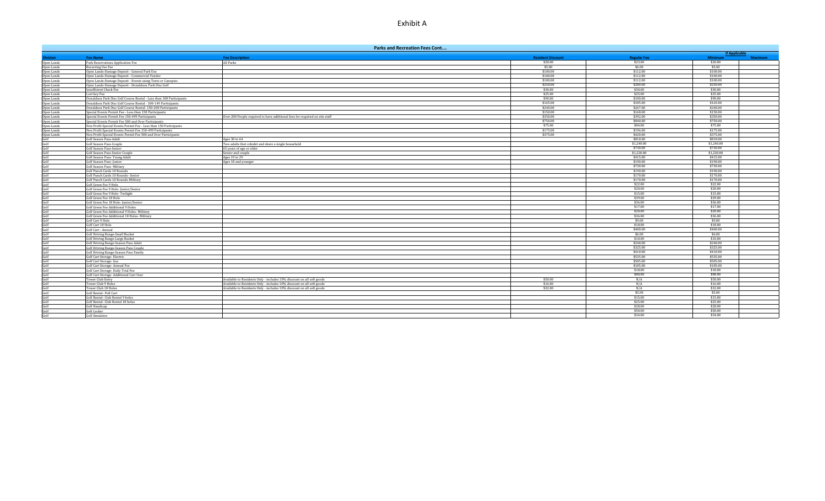|                              | <b>Parks and Recreation Fees Cont</b>                               |                                                                             |                                     |                               |                           |                      |
|------------------------------|---------------------------------------------------------------------|-----------------------------------------------------------------------------|-------------------------------------|-------------------------------|---------------------------|----------------------|
|                              |                                                                     |                                                                             |                                     |                               |                           | <b>If Applicable</b> |
| vision<br>Open Lands         | <b>Fee Name</b>                                                     | <b>Fee Description</b><br>All Parks                                         | <b>Resident Discount</b><br>\$20.00 | <b>Regular Fee</b><br>\$23.00 | <b>Minimum</b><br>\$20.00 | <b>Maximum</b>       |
| Open Lands                   | Park Reservations Application Fee<br>Recurring Use Fee              |                                                                             | \$5.00                              | \$6.00                        | \$5.00                    |                      |
| Open Lands                   | Open Lands-Damage Deposit - General Park Use                        |                                                                             | \$100.00                            | \$112.00                      | \$100.00                  |                      |
| Open Lands                   | Open Lands-Damage Deposit - Commercial Vendor                       |                                                                             | \$100.00                            | \$112.00                      | \$100.00                  |                      |
| Open Lands                   | Open Lands-Damage Deposit - Events using Tents or Canopies          |                                                                             | \$100.00                            | \$112.00                      | \$100.00                  |                      |
| Open Lands                   | Open Lands-Damage Deposit - Donaldson Park Disc Golf                |                                                                             | \$250.00                            | \$280.00                      | \$250.00                  |                      |
| Open Lands                   | <b>Insufficient Check Fee</b>                                       |                                                                             | \$30.00                             | \$30.00                       | \$30.00                   |                      |
| Open Lands                   | Lost key Fee                                                        |                                                                             | \$25.00                             | \$25.00                       | \$25.00                   |                      |
| Open Lands                   | Donaldson Park Disc Golf Course Rental - Less than 100 Participants |                                                                             | \$90.00                             | \$100.00                      | \$90.00                   |                      |
| Open Lands                   | Donaldson Park Disc Golf Course Rental - 100-149 Participants       |                                                                             | \$165.00                            | \$185.00                      | \$165.00                  |                      |
| Open Lands                   | Donaldson Park Disc Golf Course Rental- 150-200 Participants        |                                                                             | \$240.00                            | \$267.00                      | \$240.00                  |                      |
| Open Lands                   | Special Events Permit Fee - Less than 150 Participants              |                                                                             | \$150.00                            | \$168.00                      | \$150.00                  |                      |
| Open Lands                   | Special Events Permit Fee 150-499 Participants                      | Over 200 People required to have additional fees for required on site staff | \$350.00                            | \$392.00                      | \$350.00                  |                      |
| Open Lands                   | Special Events Permit Fee 500 and Over Participants                 |                                                                             | \$750.00                            | \$840.00                      | \$750.00                  |                      |
| Open Lands                   | Non Profit Special Events Permit Fee - Less than 150 Participants   |                                                                             | \$75.00                             | \$84.00                       | \$75.00                   |                      |
| Open Lands                   | Non Profit Special Events Permit Fee 150-499 Participants           |                                                                             | \$175.00                            | \$196.00                      | \$175.00                  |                      |
| Open Lands                   | Non Profit Special Events Permit Fee 500 and Over Participants      |                                                                             | \$375.00                            | \$420.00                      | \$375.00                  |                      |
| Golf                         | <b>Golf Season Pass-Adult</b>                                       | Ages 30 to 64                                                               |                                     | \$810.00                      | \$810.00                  |                      |
| Golf                         | Golf Season Pass-Couple                                             | Two adults that cohabit and share a single household                        |                                     | \$1,240.00                    | \$1,240.00                |                      |
| Golf<br>Golf                 | Golf Season Pass-Senior                                             | 65 years of age or older                                                    |                                     | \$730.00                      | \$730.00                  |                      |
|                              | Golf Season Pass-Senior Couple<br>Golf Season Pass- Young Adult     | Senior and couple<br>Ages 19 to 29                                          |                                     | \$1,220.00<br>\$415.00        | \$1,220,00<br>\$415.00    |                      |
| Golf<br>Golf                 | Golf Season Pass-Junior                                             |                                                                             |                                     | \$190.00                      | \$190.00                  |                      |
|                              | Golf Season Pass- Military                                          | Ages 18 and younger                                                         |                                     | \$730.00                      | \$730.00                  |                      |
| Golf                         | <b>Golf Punch Cards 10 Rounds</b>                                   |                                                                             |                                     | \$190.00                      | \$190.00                  |                      |
| Golf<br>Golf                 | Golf Punch Cards 10 Rounds- Senior                                  |                                                                             |                                     | \$170.00                      | \$170.00                  |                      |
|                              | Golf Punch Cards 10 Rounds-Military                                 |                                                                             |                                     | \$170.00                      | \$170.00                  |                      |
| Golf<br>Golf<br>Golf<br>Golf | Golf Green Fee 9 Hole                                               |                                                                             |                                     | \$22.00                       | \$22.00                   |                      |
|                              | Golf Green Fee 9 Hole- Junior/Senior                                |                                                                             |                                     | \$20.00                       | \$20.00                   |                      |
|                              | Golf Green Fee 9 Hole- Twilight                                     |                                                                             |                                     | \$15.00                       | \$15.00                   |                      |
|                              | Golf Green Fee 18 Hole                                              |                                                                             |                                     | \$39.00                       | \$39.00                   |                      |
|                              | Golf Green Fee 18 Hole- Junior/Senior                               |                                                                             |                                     | \$36.00                       | \$36.00                   |                      |
| Golf<br>Golf<br>Golf<br>Golf | <b>Golf Green Fee Additional 9 Holes</b>                            |                                                                             |                                     | \$17.00                       | \$17.00                   |                      |
|                              | Golf Green Fee Additional 9 Holes- Military                         |                                                                             |                                     | \$20.00                       | \$20.00                   |                      |
|                              | Golf Green Fee Additional 18 Holes- Military                        |                                                                             |                                     | \$36.00                       | \$36.00                   |                      |
| Golf                         | Golf Cart 9 Hole                                                    |                                                                             |                                     | \$9.00                        | \$9.00                    |                      |
|                              | Golf Cart 18 Hole                                                   |                                                                             |                                     | \$18.00                       | \$18.00                   |                      |
| Golf<br>Golf<br>Golf<br>Golf | Golf Cart - Annual                                                  |                                                                             |                                     | \$400.00                      | \$400.00                  |                      |
|                              | <b>Golf Driving Range-Small Bucket</b>                              |                                                                             |                                     | \$6.00                        | \$6.00                    |                      |
|                              | <b>Golf Driving Range-Large Bucket</b>                              |                                                                             |                                     | \$10.00                       | \$10.00                   |                      |
| Golf<br>Golf                 | Golf Driving Range-Season Pass Adult                                |                                                                             |                                     | \$240.00                      | \$240.00                  |                      |
|                              | Golf Driving Range-Season Pass Couple                               |                                                                             |                                     | \$325.00                      | \$325.00                  |                      |
| Golf<br>Golf                 | Golf Driving Range-Season Pass Family                               |                                                                             |                                     | \$410.00                      | \$410.00                  |                      |
|                              | Golf Cart Storage- Electric                                         |                                                                             |                                     | \$535.00<br>\$505.00          | \$535.00<br>\$505.00      |                      |
| Golf                         | Golf Cart Storage- Gas                                              |                                                                             |                                     | \$185.00                      | \$185.00                  |                      |
| Golf<br>Golf                 | Golf Cart Storage- Annual Fee<br>Golf Cart Storage- Daily Trial Fee |                                                                             |                                     | \$18.00                       | \$18.00                   |                      |
| Golf                         | Golf Cart Storage- Additional Cart User                             |                                                                             |                                     | \$80.00                       | \$80.00                   |                      |
| Golf                         | <b>Tower Club Entry</b>                                             | Available to Residents Only - includes 10% discount on all soft goods       | \$50.00                             | N/A                           | \$50.00                   |                      |
| Golf                         | Tower Club 9 Holes                                                  | Available to Residents Only - includes 10% discount on all soft goods       | \$16.00                             | N/A                           | \$16.00                   |                      |
|                              | Tower Club 18 Holes                                                 | Available to Residents Only - includes 10% discount on all soft goods       | \$32.00                             | N/A                           | \$32.00                   |                      |
| Golf<br>Golf<br>Golf         | Golf Rental- Pull Cart                                              |                                                                             |                                     | \$5.00                        | \$5.00                    |                      |
|                              | Golf Rental- Club Rental 9 holes                                    |                                                                             |                                     | \$15.00                       | \$15.00                   |                      |
| Golf                         | Golf Rental- Club Rental 18 holes                                   |                                                                             |                                     | \$25.00                       | \$25.00                   |                      |
|                              | <b>Golf Handicap</b>                                                |                                                                             |                                     | \$28.00                       | \$28.00                   |                      |
| Golf<br>Golf                 | Golf Locker                                                         |                                                                             |                                     | \$50.00                       | \$50.00                   |                      |
| Golf                         | Golf Simulator                                                      |                                                                             |                                     | \$34.00                       | \$34.00                   |                      |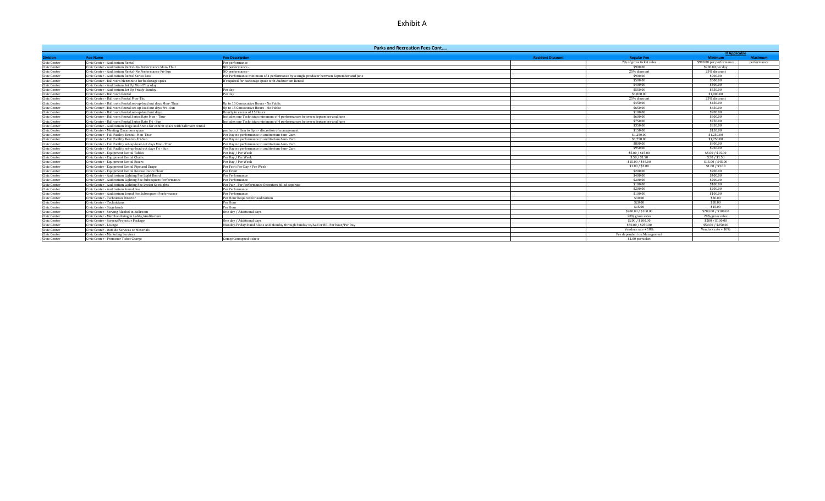|              | <b>Parks and Recreation Fees Cont</b>                                            |                                                                                          |                          |                             |                          |                |  |
|--------------|----------------------------------------------------------------------------------|------------------------------------------------------------------------------------------|--------------------------|-----------------------------|--------------------------|----------------|--|
|              |                                                                                  |                                                                                          |                          |                             | <b>If Applicable</b>     |                |  |
| ivision      | <b>Fee Name</b>                                                                  | <b>Fee Description</b>                                                                   | <b>Resident Discount</b> | <b>Regular Fee</b>          | <b>Minimum</b>           | <b>Maximum</b> |  |
| Civic Center | Civic Center - Auditorium Rental                                                 | Per performance                                                                          |                          | 7% of gross ticket sales    | \$900.00 per performance | performance    |  |
| Civic Center | Civic Center - Auditorium Rental-No Performance Mon-Thur                         | NO performance -                                                                         |                          | \$900.00                    | \$900.00 per day         |                |  |
| Civic Center | Civic Center - Auditorium Rental-No Performance Fri-Sun                          | NO performance                                                                           |                          | 25% discount                | 25% discount             |                |  |
| Civic Center | Civic Center - Auditorium Rental Series Rate                                     | Per Performance minimum of 4 performance by a single producer between September and June |                          | \$900.00                    | \$900.00                 |                |  |
| Civic Center | Civic Center - Ballroom Mezzanine for backstage space                            | If required for backstage space with Auditorium Rental                                   |                          | \$500.00                    | \$500.00                 |                |  |
| Civic Center | Civic Center - Auditorium Set Up Mon-Thursday                                    |                                                                                          |                          | \$400.00                    | \$400.00                 |                |  |
| Civic Center | Civic Center - Auditorium Set Up Friady-Sunday                                   | Per day                                                                                  |                          | \$550.00                    | \$550.00                 |                |  |
| Civic Center | Civic Center - Ballroom Rental                                                   | Per day                                                                                  |                          | \$1,000.00                  | \$1,000.00               |                |  |
| Civic Center | Civic Center - Ballroom Rental Mon-Thu                                           |                                                                                          |                          | 25% discount                | 25% discount             |                |  |
| Civic Center | Civic Center - Ballroom Rental set-up-load out days Mon-Thur                     | n to 15 Consecutive Hours - No Public                                                    |                          | \$450.00                    | \$450.00                 |                |  |
| Civic Center | Civic Center - Ballroom Rental set-up-load out days Fri - Sun                    | Jp to 15 Consecutive Hours - No Public                                                   |                          | \$650.00                    | \$650.00                 |                |  |
| Civic Center | Civic Center - Ballroom Rental set-up-load out days                              | lourly in excess of 15 Hours                                                             |                          | \$100.00                    | \$200.00                 |                |  |
| Civic Center | Civic Center - Ballroom Rental Series Rate Mon - Thur                            | Includes one Technician minimum of 4 performances between September and June             |                          | \$600.00                    | \$600.00                 |                |  |
| Civic Center | Civic Center - Ballroom Rental Series Rate Fri - Sun                             | Includes one Technician minimum of 4 performances between September and June             |                          | \$750.00                    | \$750.00                 |                |  |
| Civic Center | Civic Center - Auditorium Stage and Arena for exhibit space with ballroom rental |                                                                                          |                          | \$350.00                    | \$350.00                 |                |  |
| Civic Center | Civic Center - Meeting Classroom space                                           | per hour / 8am to 8pm - discretion of management                                         |                          | \$150.00                    | \$150.00                 |                |  |
| Civic Center | Civic Center - Full Facility Rental -Mon-Thur                                    | Per Day no performance in auditorium 6am-2am                                             |                          | \$1,250.00                  | \$1,250,00               |                |  |
| Civic Center | Civic Center - Full Facility Rental - Fri-Sun                                    | Per Day no performance in auditorium 6am-2am                                             |                          | \$1,750.00                  | \$1,750.00               |                |  |
| Civic Center | Civic Center - Full Facility set-up-load out days Mon-Thur                       | Per Day no performance in auditorium 6am-2am                                             |                          | \$800.00                    | \$800.00                 |                |  |
| Civic Center | Civic Center - Full Facility set-up-load out days Fri - Sun                      | Per Day no performance in auditorium 6am-2am                                             |                          | \$950.00                    | \$950.00                 |                |  |
| Civic Center | Civic Center - Equipment Rental Tables                                           | Per Day / Per Week                                                                       |                          | \$5,00 / \$15,00            | \$5,00 / \$15,00         |                |  |
| Civic Center | Civic Center - Equipment Rental Chairs                                           | Per Day / Per Week                                                                       |                          | \$.50 / \$1.50              | \$.50 / \$1.50           |                |  |
| Civic Center | Civic Center - Equipment Rental Risers                                           | Per Day / Per Week                                                                       |                          | \$15.00 / \$45.00           | \$15.00 / \$45.00        |                |  |
| Civic Center | Civic Center - Equipment Rental Pipe and Drape                                   | Per Foot: Per Day / Per Week                                                             |                          | \$1.00 / \$3.00             | \$1.00 / \$3.00          |                |  |
| Civic Center | Civic Center - Equipment Rental Roscoe Dance Floor                               | Per Event                                                                                |                          | \$200.00                    | \$200.00                 |                |  |
| Civic Center | Civic Center - Auditorium Lighting Fee Light Board                               | Per Performance                                                                          |                          | \$400.00                    | \$400.00                 |                |  |
| Civic Center | Civic Center - Auditorium Lighting Fee Subsequent Performance                    | Per Performance                                                                          |                          | \$200.00                    | \$200.00                 |                |  |
| Civic Center | Civic Center - Auditorium Lighting Fee Lycian Spotlights                         | Per Pair - Per Performance Operators billed separate                                     |                          | \$100.00                    | \$100.00                 |                |  |
| Civic Center | Civic Center - Auditorium Sound Fee                                              | Per Performance                                                                          |                          | \$200.00                    | \$200.00                 |                |  |
| Civic Center | Civic Center - Auditorium Sound Fee Subsequent Performance                       | Per Performance                                                                          |                          | \$100.00                    | \$100.00                 |                |  |
| Civic Center | Civic Center - Technician Director                                               | Per Hour Required for auditorium                                                         |                          | \$30.00                     | \$30.00                  |                |  |
| Civic Center | Civic Center - Technicians                                                       | Per Hour                                                                                 |                          | \$20.00                     | \$20.00                  |                |  |
| Civic Center | Civic Center - Stagehands                                                        | Per Hour                                                                                 |                          | \$15.00                     | \$15.00                  |                |  |
| Civic Center | Civic Center - Serving Alcohol in Ballroom                                       | One day / Additional days                                                                |                          | \$200,00 / \$100,00         | \$200.00 / \$100.00      |                |  |
| Civic Center | Civic Center - Merchandising in Lobby/Auditorium                                 |                                                                                          |                          | 20% gross sales             | 20% gross sales          |                |  |
| Civic Center | Civic Center - Screen/Projector Package                                          | One day / Additional days                                                                |                          | \$200 / \$100.00            | \$200 / \$100.00         |                |  |
| Civic Center | Civic Center - Lounge                                                            | Monday-Friday Stand Alone and Monday through Sunday w/Aud or BR- Per hour/Per Day        |                          | \$50.00 / \$250.00          | \$50.00 / \$250.00       |                |  |
| Civic Center | Civic Center - Outside Services or Materials                                     |                                                                                          |                          | Vendors rate + 10%          | Vendors rate + 10%       |                |  |
| Civic Center | Civic Center - Marketing Services                                                |                                                                                          |                          | Fee dependent on Management |                          |                |  |
| Civic Center | Civic Center - Promoter Ticket Charge                                            | Comp/Consigned tickets                                                                   |                          | \$1.00 per ticket           |                          |                |  |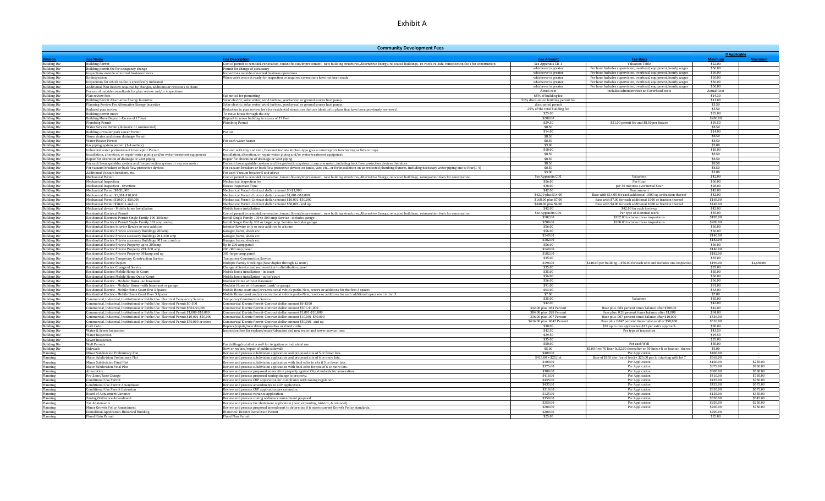|                                            |                                                                                                                                                                                   | <b>Community Development Fees</b>                                                                                                                                                                     |                                                            |                                                                                                                                      |                               |                      |
|--------------------------------------------|-----------------------------------------------------------------------------------------------------------------------------------------------------------------------------------|-------------------------------------------------------------------------------------------------------------------------------------------------------------------------------------------------------|------------------------------------------------------------|--------------------------------------------------------------------------------------------------------------------------------------|-------------------------------|----------------------|
|                                            |                                                                                                                                                                                   |                                                                                                                                                                                                       |                                                            |                                                                                                                                      | <b>If Applicable</b>          |                      |
|                                            | <b>Fee Name</b>                                                                                                                                                                   | <b>Fee Descriptio</b>                                                                                                                                                                                 | <b>Fee Amoun</b>                                           | <b>Fee Basis</b>                                                                                                                     | Minimu                        | <b>Maximum</b>       |
| <b>Building Div</b>                        | <b>Building Permit</b>                                                                                                                                                            | Cost of permit to remodel, renovation, tenant fit-out/improvement, new building structures, Alternative Energy, relocated buildings, re-roofs, re-side, reinspection fee's for construction           | See Appendix CD-1                                          | <b>Valuation Table</b>                                                                                                               | \$22.00<br>\$56.00            |                      |
| <b>Building Div</b><br><b>Building Div</b> | Building permit fee for occupancy change<br>nspections outside of normal business hours                                                                                           | Permit for change of occupancy<br>Inspections outside of normal business operations                                                                                                                   | whichever is greater<br>whichever is greate.               | Per hour Includes supervision, overhead, equipment, hourly wages<br>Per hour Includes supervision, overhead, equipment, hourly wages | \$56.00                       |                      |
| <b>Building Div</b>                        | Re-inspection                                                                                                                                                                     | When work was not ready for inspection or required corrections have not been made                                                                                                                     | whichever is greate                                        | Per hour Includes supervision, overhead, equipment, hourly wages                                                                     | \$56.00                       |                      |
| <b>Building Div</b>                        | Inspections for which no fee is specifically indicated                                                                                                                            |                                                                                                                                                                                                       | whichever is greater                                       | Per hour Includes supervision, overhead, equipment, hourly wages                                                                     | \$56.00                       |                      |
| <b>Building Div</b>                        | Additional Plan Review required by changes, additions or revisions to plans                                                                                                       |                                                                                                                                                                                                       | whichever is greater                                       | Per hour Includes supervision, overhead, equipment, hourly wages                                                                     | \$56.00                       |                      |
| <b>Building Div</b>                        | or use of outside consultants for plan review and/or inspections'                                                                                                                 |                                                                                                                                                                                                       | Actual cost                                                | Includes administrative and overhead costs                                                                                           | <b>Actual Cost</b><br>\$14.30 |                      |
| <b>Building Div</b><br><b>Building Div</b> | Plan review fees<br><b>Building Permit Alternative Energy Incentive</b>                                                                                                           | Submitted for permitting<br>Solar electric, solar water, wind turbine, geothermal or ground source heat pump                                                                                          | 65% of building fee<br>50% discount on building permit fee |                                                                                                                                      | \$11.00                       |                      |
| <b>Building Div</b>                        | Planning Review Fee Alternative Energy Incentive                                                                                                                                  | Solar electric, solar water, wind turbine, geothermal or ground source heat pump.                                                                                                                     | discounted permit                                          |                                                                                                                                      | \$5.50                        |                      |
| <b>Building Div</b>                        | Reduced plan review                                                                                                                                                               | Reduction in plan review fee's for residential structures that are identical to plans that have been previously reviewed                                                                              | 25% of the total building fee                              |                                                                                                                                      | \$5.50                        |                      |
| <b>Building Div</b>                        | Building permit move                                                                                                                                                              | To move house through the city                                                                                                                                                                        | \$25.00                                                    |                                                                                                                                      | \$25.00                       |                      |
| <b>Building Div</b><br><b>Building Div</b> | uilding Move Deposit - Excess of 17 feet<br>'lumbing Permit                                                                                                                       | Deposit to move building in excess of 17 Feet                                                                                                                                                         | \$200.00<br>\$29.50                                        |                                                                                                                                      | \$200.00<br>\$29.50           |                      |
| <b>Building Div</b>                        | Water Service Permit (domestic or commercial)                                                                                                                                     | Plumbing Permit                                                                                                                                                                                       | \$8.50                                                     | \$21.00 permit fee and \$8.50 per fixture                                                                                            | \$8.50                        |                      |
| <b>Building Div</b>                        | Building or trailer park sewer Permit                                                                                                                                             | Per lot                                                                                                                                                                                               | \$14.00                                                    |                                                                                                                                      | \$14.00                       |                      |
| <b>Building Div</b>                        | Storm drains and storm drainage Permit                                                                                                                                            |                                                                                                                                                                                                       | \$8.50                                                     |                                                                                                                                      | \$8.50                        |                      |
| <b>Building Div</b>                        | <b>Water Heater Permit</b>                                                                                                                                                        | For each water heate                                                                                                                                                                                  | \$8.50                                                     |                                                                                                                                      | \$8.50                        |                      |
| <b>Building Div</b>                        | Gas piping system permit (1-4 outlets)                                                                                                                                            |                                                                                                                                                                                                       | \$3.00<br>\$10.00                                          |                                                                                                                                      | \$3.00<br>\$10.00             |                      |
| <b>Building Div</b><br><b>Building Div</b> | Industrial water pretreatment Interceptor Permit<br>Installation, alteration, or repair water piping and/or water treatment equipment                                             | Per unit with tray and vent, Does not include kitchen-type grease interceptors functioning as fixture traps<br>Installation, alteration, or repair water piping and/or water treatment equipment      | \$8.50                                                     |                                                                                                                                      | \$8.50                        |                      |
| <b>Building Div</b>                        | Repair for alteration of drainage or vent piping                                                                                                                                  | Repair for alteration of drainage or vent piping                                                                                                                                                      | \$8.50                                                     |                                                                                                                                      | \$8.50                        |                      |
| <b>Building Div</b>                        | For each lawn sprinkler system and fire protection system or any one meter                                                                                                        | For each lawn sprinkler system and fire protection system or any one meter, including back flow protection devices therefore                                                                          | \$8.50                                                     |                                                                                                                                      | \$8.50                        |                      |
| <b>Building Div</b>                        | For vacuum breakers or back flow protective devices                                                                                                                               | For vacuum breakers or back flow protective devices on tanks, vats, etc, or for installation on unprotected plumbing fixtures, including necessary water piping one to four(1-4)                      | \$8.50                                                     |                                                                                                                                      | \$8.50                        |                      |
| <b>Building Div</b>                        | Additional Vacuum breakers, etc                                                                                                                                                   | For each Vacuum breaker 5 and above                                                                                                                                                                   | \$3.00                                                     | Valuation                                                                                                                            | \$3.00<br>\$42.00             |                      |
| <b>Building Div</b><br><b>Building Div</b> | Mechanical Permit<br><b>Mechanical Inspection</b>                                                                                                                                 | Cost of permit to remodel, renovation, tenant fit-out/improvement, new building structures, Alternative Energy, relocated buildings, reinspection fee's for construction<br>Mechanical Inspection fee | See Appendix CD1<br>\$56.00                                | Per Hour                                                                                                                             | \$56.00                       |                      |
| <b>Building Div</b>                        | Mechanical Inspection - Overtime                                                                                                                                                  | <b>Excess Inspection Time</b>                                                                                                                                                                         | \$28.00                                                    | per 30 minutes over initial hour                                                                                                     | \$28.00                       |                      |
| <b>Building Div</b>                        | Mechanical Permit \$0-\$1,000                                                                                                                                                     | Mechanical Permit-Contract dollar amount \$0-\$1,000                                                                                                                                                  | \$42.00                                                    | Base amount                                                                                                                          | \$42.00                       |                      |
| <b>Building Div</b>                        | Mechanical Permit \$1,001-\$10,000                                                                                                                                                | Mechanical Permit-Contract dollar amount \$1,001-\$10,000                                                                                                                                             | \$42.00 plus \$14.00                                       | Base with \$14.00 for each additional 1000 sq. or fraction thereof                                                                   | \$42.00                       |                      |
| <b>Building Div</b>                        | Mechanical Permit \$10,001-\$50,000                                                                                                                                               | Mechanical Permit-Contract dollar amount \$10,001-\$50,000                                                                                                                                            | \$168.00 plus \$7.00                                       | Base with \$7.00 for each additional 1000 or fraction thereof                                                                        | \$168.00                      |                      |
| <b>Building Div</b><br><b>Building Div</b> | Aechanical Permit \$50,001-and up<br>Mechanical device - Mobile home Installation                                                                                                 | Mechanical Permit-Contract dollar amount \$50.001- and up<br>Mobile home installation                                                                                                                 | \$448.00 plus \$4.00<br>\$42.00                            | Base with \$4.00 for each additional 1000 or fraction thereof<br>\$42.00 for each hook-up                                            | \$448.00<br>\$42.00           |                      |
| <b>Building Div</b>                        | lesidential Electrical Permit                                                                                                                                                     | Cost of permit to remodel, renovation, tenant fit-out/improvement, new building structures, Alternative Energy, relocated buildings, reinspection fee's for construction                              | See Appendix CD1                                           | Per type of electrical work                                                                                                          | \$35.00                       |                      |
| <b>Building Div</b>                        | Residential Electrical Permit Single Family 100-300amp                                                                                                                            | Install Single Family 100 to 300 amp. Service - includes garage                                                                                                                                       | \$182.00                                                   | \$182.00 includes three inspections                                                                                                  | \$182.00                      |                      |
| <b>Building Div</b>                        | Residential Electrical Permit Single Family 301 amp and up                                                                                                                        | Install Single Family 301 or larger amp. Service- includes garage                                                                                                                                     | \$280.00                                                   | \$280.00 includes three inspections                                                                                                  | \$280.00                      |                      |
| <b>Building Div</b>                        | Residential Electric Interior Rewire or new addition                                                                                                                              | Interior Rewire only or new addition to a home                                                                                                                                                        | \$56.00                                                    |                                                                                                                                      | \$56.00                       |                      |
| <b>Building Div</b><br><b>Building Div</b> | Residential Electric Private accessory Buildings 200amp                                                                                                                           | Garages, barns, sheds etc                                                                                                                                                                             | \$56.00<br>\$140.00                                        |                                                                                                                                      | \$56.00<br>\$140.00           |                      |
| <b>Building Div</b>                        | Residential Electric Private accessory Buildings 201-300 amp<br>Residential Electric Private accessory Buildings 301 amp and up                                                   | Garages, barns, sheds etc<br>Garages, barns, sheds etc                                                                                                                                                | \$182.00                                                   |                                                                                                                                      | \$182.00                      |                      |
| <b>Building Div</b>                        | Residential Electric Private Property up to 200amp                                                                                                                                | Up to 200 amp panel                                                                                                                                                                                   | \$56.00                                                    |                                                                                                                                      | \$56.00                       |                      |
| <b>Building Div</b>                        | Residential Electric Private Property 201-300 amp                                                                                                                                 | 201-300 amp panel                                                                                                                                                                                     | \$140.00                                                   |                                                                                                                                      | \$140.00                      |                      |
| <b>Building Div</b>                        | Residential Electric Private Property 301amp and up                                                                                                                               | 301-larger amp panel                                                                                                                                                                                  | \$182.00<br>\$35.00                                        |                                                                                                                                      | \$182.00<br>\$35.00           |                      |
| <b>Building Div</b><br><b>Building Div</b> | Residential Electric Temporary Construction Service                                                                                                                               | <b>Temporary Construction Service</b>                                                                                                                                                                 | \$196.00                                                   | \$140.00 per building + \$56.00 for each unit and includes one inspection                                                            | \$196.00                      | \$1,680.00           |
| <b>Building Div</b>                        | Residential Electric Duplex<br>Residential Electric Change of Service                                                                                                             | Multiple Family Dwellings (New duplex through 12 units)<br>Change of Service and reconnection to distribution panel                                                                                   | \$35.00                                                    |                                                                                                                                      | \$35.00                       |                      |
| <b>Building Div</b>                        | Residential Electric Mobile Home-In Cour                                                                                                                                          | Mobile home installation - in court                                                                                                                                                                   | \$35.00                                                    |                                                                                                                                      | \$35.00                       |                      |
| <b>Building Div</b>                        | desidential Electric Mobile Home-Out of Court                                                                                                                                     | Mobile home installation - out of court                                                                                                                                                               | \$56.00                                                    |                                                                                                                                      | \$56.00                       |                      |
| <b>Building Div</b><br><b>Building Div</b> | Residential Electric - Modular Home -no basement                                                                                                                                  | Modular Home without Basement                                                                                                                                                                         | \$56.00<br>\$91.00                                         |                                                                                                                                      | \$56.00<br>\$91.00            |                      |
| <b>Building Div</b>                        | Residential Electric - Modular Home - with basement or garage<br>Residential Electric - Mobile Home Court first 3 Spaces                                                          | Modular Home with basement and/ or garage<br>Mobile Home court and/or recreational vehicle parks-New, rewire or additions for the first 3 spaces                                                      | \$63.00                                                    |                                                                                                                                      | \$63.00                       |                      |
| <b>Building Div</b>                        | Residential Electric - Mobile Home Court Over 3 Spaces                                                                                                                            | Mobile Home court and/or recreational vehicle parks-New, rewire or additions for each additional space over initial 3                                                                                 | \$7.00                                                     |                                                                                                                                      | \$7.00                        |                      |
| <b>Building Div</b>                        | Commercial, Industrial, Institutional or Public Use Electrical Temporary Service                                                                                                  | Temporary Construction Service                                                                                                                                                                        | \$35.00                                                    | Valuation                                                                                                                            | \$35.00                       |                      |
| <b>Building Div</b>                        | Commercial, Industrial, Institutional or Public Use Electrical Permit \$0-500                                                                                                     | Commercial Electric Permit-Contract dollar amount \$0-\$500                                                                                                                                           | \$42.00                                                    |                                                                                                                                      | \$42.00                       |                      |
| <b>Building Div</b>                        | ommercial, Industrial, Institutional or Public Use, Electrical Permit \$501-\$1,000                                                                                               | Commercial Electric Permit-Contract dollar amount \$501-\$1.000                                                                                                                                       | \$42.00 plus .084 Percent                                  | Base plus .084 percent times balance after \$500.00                                                                                  | \$42.00<br>\$84.00            |                      |
| <b>Building Div</b><br><b>Building Div</b> | Commercial, Industrial, Institutional or Public Use Electrical Permit \$1,000-\$10,000<br>Commercial. Industrial. Institutional or Public Use Electrical Permit \$10.001-\$50.000 | Commercial Electric Permit-Contract dollar amount \$1,001-\$10,000<br>Commercial Electric Permit-Contract dollar amount \$10,001-\$50,000                                                             | \$84.00 plus .028 Percent<br>336.00 plus .007 Percent      | Base plus. 0.28 percent times balance after \$1,000<br>Base plus .007 percent times balance after \$10,000                           | \$336.00                      |                      |
| <b>Building Div</b>                        | ommercial, Industrial, Institutional or Public Use Electrical Permit \$50,000 or more                                                                                             | ommercial Electric Permit-Contract dollar amount \$50,001- and up                                                                                                                                     | \$616.00 plus .0042 Percent                                | Base plus .0042 percent times balance after \$50,000                                                                                 | \$616.00                      |                      |
| <b>Building Div</b>                        | urb Cuts                                                                                                                                                                          | Replace/repair/new drive approaches or street curbs                                                                                                                                                   | \$30.00                                                    | \$30 up to two approaches-\$15 per extra approach                                                                                    | \$30.00                       |                      |
| <b>Building Div</b>                        | Water & Sewer Inspection                                                                                                                                                          | Inspection fees for replace/repair/abandon and new water and sewer service lines                                                                                                                      | \$43.50                                                    | Per type of inspection                                                                                                               | \$43.50                       |                      |
| <b>Building Div</b>                        | Water Inspection                                                                                                                                                                  |                                                                                                                                                                                                       | \$29.50<br>\$35.00                                         |                                                                                                                                      | \$29.50<br>\$35.00            |                      |
| <b>Building Div</b><br><b>Building Div</b> | Sewer Inspection<br><b>Well Permits</b>                                                                                                                                           | For drilling/install of a well for irrigation or industrial use                                                                                                                                       | \$50.00                                                    | Per each Well                                                                                                                        | \$50.00                       |                      |
| <b>Building Div</b>                        | Sidewalk                                                                                                                                                                          | New or replace/repair of public sidewalk                                                                                                                                                              | \$5.00                                                     | \$5.00 first 70 liner ft, \$2.00 thereafter or 50 linear ft or fraction thereof                                                      | \$5.00                        |                      |
| Planning                                   | Minor Subdivision Preliminary Plat                                                                                                                                                | Review and process subdivision application and proposed site of 5 or fewer lots.                                                                                                                      | \$400.00                                                   | Per Application                                                                                                                      | \$400.00                      |                      |
| Planning                                   | Major Subdivision Preliminary Plat                                                                                                                                                | Review and process subdivision application and proposed site of 6 or more lots.                                                                                                                       | $$415.00 + $25/lot$                                        | Base of \$565 (for first 6 lots) + \$25.00 per lot starting with lot 7                                                               | \$565.00                      |                      |
| Planning                                   | Minor Subdivision Final Plat<br>Major Subdivision Final Plat                                                                                                                      | Review and process subdivision application with final edits to site if 5 or fewer lots.                                                                                                               | \$100.00<br>\$375.00                                       | Per Application                                                                                                                      | \$100.00<br>\$375.00          | \$250.00<br>\$750.00 |
| Planning<br>Planning                       | Annexation                                                                                                                                                                        | Review and process subdivision application with final edits for site of 6 or more lots.<br>Review and process proposed annexation property against City standards for annexation                      | \$300.00                                                   | Per Application<br>Per Application                                                                                                   | \$300.00                      | \$500.00             |
| Planning                                   | Pre-Zone/Zone Change                                                                                                                                                              | Review and process proposed zoning change to property                                                                                                                                                 | \$410.00                                                   | Per Application                                                                                                                      | \$410.00                      | \$750.00             |
| Planning                                   | <b>Conditional Use Permit</b>                                                                                                                                                     | Review and process CUP application for compliance with zoning regulation.                                                                                                                             | \$435.00                                                   | Per Application                                                                                                                      | \$435.00                      | \$750.00             |
| Planning                                   | onditional Use Permit Amendment                                                                                                                                                   | Review and process amendments to CUP application                                                                                                                                                      | \$435.00                                                   | Per Application                                                                                                                      | \$435.00                      | \$675.00             |
| Planning                                   | onditional Use Permit Extensior                                                                                                                                                   | Review and process CUP application per extension.                                                                                                                                                     | \$310.00                                                   | Per Application                                                                                                                      | \$310.00                      | \$675.00             |
| Planning<br>Planning                       | oard of Adjustment Variance<br>Coning Ordinance Amendment                                                                                                                         | Review and process variance application.<br>Review and process zoning ordinance amendment proposal.                                                                                                   | \$125.00<br>\$350.00                                       | Per Application<br>Per Application                                                                                                   | \$125.00<br>\$350.00          | \$350.00<br>\$545.00 |
| Planning                                   | Tax Abatements                                                                                                                                                                    | Review and process tax abatement application (new, expanding, historic, & remodel).                                                                                                                   | \$250.00                                                   | Per Application                                                                                                                      | \$250.00                      | \$250.00             |
| Planning                                   | Minor Growth Policy Amendment                                                                                                                                                     | Review and process proposed amendment to determine if it meets current Growth Policy standards.                                                                                                       | \$200.00                                                   | Per Application                                                                                                                      | \$200.00                      | \$750.00             |
| Planning                                   | Demolition Application-Historical Building                                                                                                                                        | Historical District Demolition Permit                                                                                                                                                                 | \$200.00                                                   |                                                                                                                                      | \$200.00                      |                      |
| Planning                                   | Flood Plain Permit                                                                                                                                                                | Flood Plan Permit                                                                                                                                                                                     | \$25.00                                                    |                                                                                                                                      | \$25.00                       |                      |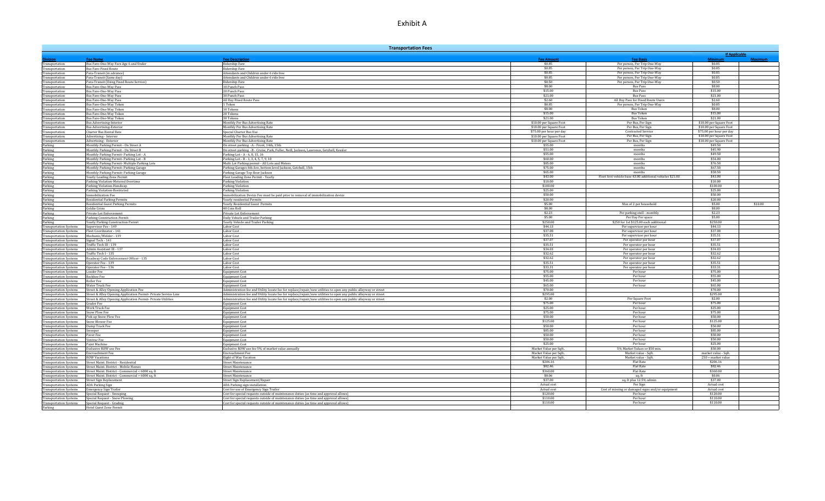| <b>Transportation Fees</b>                                     |                                                                                         |                                                                                                                                           |                                                     |                                                                    |                                                     |
|----------------------------------------------------------------|-----------------------------------------------------------------------------------------|-------------------------------------------------------------------------------------------------------------------------------------------|-----------------------------------------------------|--------------------------------------------------------------------|-----------------------------------------------------|
| inn:                                                           | Fee Name                                                                                | <b>Fee Description</b>                                                                                                                    | <b>Fee Amount</b>                                   | <b>Fee Basis</b>                                                   | <b>If Applicable</b><br>Minimur<br><b>Maximum</b>   |
| Transportation                                                 | Bus Fare-One-Way Fare Age 6 and Under                                                   | Ridership Fare                                                                                                                            | \$0.85                                              | Per person, Per Trip One-Way                                       | \$0.85                                              |
| Transportation                                                 | <b>Bus Fare-Fixed Route</b>                                                             | Ridership Fare                                                                                                                            | \$0.85                                              | Per person, Per Trip One-Way                                       | \$0.85                                              |
| Transportation                                                 | Para-Transit (in advance)<br>Para-Transit (Same day)                                    | Attendants and Children under 6 ride free<br>Attendants and Children under 6 ride free                                                    | \$0.85<br>\$0.85                                    | Per person, Per Trip One-Way<br>Per person, Per Trip One-Way       | \$0.85<br>\$0.85                                    |
| Transportation<br>Transportation                               | Para-Transit (Using Fixed Route Service)                                                | Ridership Fare                                                                                                                            | \$0.50                                              | Per person, Per Trip One-Way                                       | \$0.50                                              |
| Transportation                                                 | Bus Fare-One-Way Pass                                                                   | 10 Punch Pass                                                                                                                             | \$8.00                                              | <b>Bus Pass</b>                                                    | \$8.00                                              |
| Transportation                                                 | Bus Fare-One-Way Pass                                                                   | 20 Punch Pass                                                                                                                             | \$15.00                                             | <b>Bus Pass</b>                                                    | \$15.00                                             |
| Transportation                                                 | Bus Fare-One-Way Pass                                                                   | 30 Punch Pass                                                                                                                             | \$21.00                                             | <b>Bus Pass</b>                                                    | \$21.00                                             |
| Transportation                                                 | Bus Fare-One-Way Pass                                                                   | All Day Fixed Route Pass<br>1 Token                                                                                                       | \$2.60<br>\$0.85                                    | All Day Pass for Fixed Route Users<br>Per person, Per Trip One-Way | \$2.60<br>\$0.85                                    |
| Transportation<br>Transportation                               | Bus Fare-One-Way Token<br>Bus Fare-One-Way Token                                        | 10 Tokens                                                                                                                                 | \$8.00                                              | <b>Bus Token</b>                                                   | \$8.00                                              |
| Transportation                                                 | Bus Fare-One-Way Token                                                                  | 20 Tokens                                                                                                                                 | \$15.00                                             | <b>Bus Token</b>                                                   | \$15.00                                             |
| Transportation                                                 | Bus Fare-One-Way Token                                                                  | 30 Tokens                                                                                                                                 | \$21.00                                             | <b>Bus Token</b>                                                   | \$21.00                                             |
| Transportation                                                 | <b>Bus Advertising-Interior</b>                                                         | Monthly Per Bus Advertising Rate                                                                                                          | \$10.00 per Square Foot                             | Per Bus, Per Sign                                                  | \$10.00 per Square Foot                             |
| Transportation                                                 | <b>Bus Advertising-Exterior</b>                                                         | Monthly Per Bus Advertising Rate                                                                                                          | \$10.00 per Square Foot<br>\$75.00 per hour per day | Per Bus, Per Sign<br><b>Contracted Service</b>                     | \$10.00 per Square Foot<br>\$75.00 per hour per day |
| Transportation<br>Transportation                               | Charter Bus Rental Rate<br>Advertising - Interior                                       | Special Charter Bus Use<br>Monthly Per Bus Advertising Rate                                                                               | \$10.00 per Square Foot                             | Per Bus, Per Sign                                                  | \$10.00 per Square Foot                             |
| Transportation                                                 | Advertising - Exterior                                                                  | Monthly Per Bus Advertising Rate                                                                                                          | \$10.00 per Square Foot                             | Per Bus, Per Sign                                                  | \$10.00 per Square Foot                             |
| Parking                                                        | Monthly Parking Permit - On Street A                                                    | On street parking -A - Front, 14th, 15th                                                                                                  | \$55.00                                             | months                                                             | \$49.50                                             |
| Parking                                                        | Monthly Parking Permit - On Street B                                                    | On street parking -B - Cruise, Park, Fuller, Neill, Jackson, Lawrence, Getchell, Kessler                                                  | \$51.00                                             | months                                                             | \$45.90                                             |
| Parking                                                        | Monthly Parking Permit- Parking Lot - A                                                 | Parking Lot - A - 6, 8, 15, 16                                                                                                            | \$55.00<br>\$60.00                                  | monthe                                                             | \$49.50<br>\$54.00                                  |
| Parking<br>Parking                                             | Monthly Parking Permit-Parking Lot - B<br>Monthly Parking Permit- Multiple Parking Lots | Parking Lot - B - 1, 3, 4, 5, 7, 9, 10<br>Multi Lot Parking permit - All Lots and Meters                                                  | \$85.00                                             | months<br>months                                                   | \$76.50                                             |
| Parking                                                        | Monthly Parking Permit- Parking Garage                                                  | Parking Garages 6th Ave, bottom level Jackson, Getchell, 15th                                                                             | \$75.00                                             | months                                                             | \$67.50                                             |
| Parking                                                        | Monthly Parking Permit- Parking Garage                                                  | Parking Garage Top floor Jackson                                                                                                          | \$65.00                                             | months                                                             | \$58.50                                             |
| Parking                                                        | Yearly Loading Zone Permit                                                              | Fleet Loading Zone Permit - Yearly                                                                                                        | \$43.00                                             | Fleet first vehicle base 43.00 additional vehicles \$21.00         | \$43.00                                             |
| Parking                                                        | Parking Violation-Metered Overtime                                                      | Parking Violation                                                                                                                         | \$10.00<br>\$100.00                                 |                                                                    | \$10.00<br>\$100.00                                 |
| Parking                                                        | Parking Violation-Handicap<br>Parking Violation-Restricted                              | Parking Violation                                                                                                                         | \$25.00                                             |                                                                    | \$25.00                                             |
| Parking<br>Parking                                             | Immobilization Fee                                                                      | Parking Violation<br>Immobilization Device Fee must be paid prior to removal of immobilization device                                     | \$50.00                                             |                                                                    | \$50.00                                             |
| Parking                                                        | <b>Residential Parking Permits</b>                                                      | Yearly residential Permits                                                                                                                | \$20.00                                             |                                                                    | \$20.00                                             |
| Parking                                                        | <b>Residential Guest Parking Permits</b>                                                | Yearly Residential Guest Permits                                                                                                          | \$5.00                                              | Max of 2 per household                                             | \$5.00<br>\$10.00                                   |
| Parking                                                        | Goldie Coins                                                                            | 40 Coin Roll                                                                                                                              | \$8.00                                              |                                                                    | \$8.00                                              |
| Parking                                                        | Private Lot Enforcement                                                                 | Private Lot Enforcement                                                                                                                   | \$2.23<br>\$5.00                                    | Per parking stall - monthly<br>Per Day Per space                   | \$2.23<br>\$5.00                                    |
| Parking<br>Parking                                             | <b>Parking Construction Permit</b><br><b>Yearly Parking Construction Permit</b>         | Daily Vehicle and Trailer Parking<br>Yearly Vehicle and Trailer Parking                                                                   | \$250.00                                            | \$250 for 1st \$125.00 each additiona                              | \$250.00                                            |
| <b>Transportation Systems</b>                                  | Supervisor Fee - 149                                                                    | Labor Cost                                                                                                                                | \$44.13                                             | Per supervisor per hour                                            | \$44.13                                             |
| <b>Transportation Systems</b>                                  | Fleet Coordinator - 141                                                                 | Labor Cost                                                                                                                                | \$37.08                                             | Per supervisor per hour                                            | \$37.08                                             |
| <b>Transportation Systems</b>                                  | Mechanic/Welder - 139                                                                   | Labor Cost                                                                                                                                | \$35.51                                             | Per supervisor per hour                                            | \$35.51                                             |
| <b>Transportation Systems</b><br><b>Transportation Systems</b> | Signal Tech - 141<br>Traffic Tech III - 139                                             | Labor Cost<br>Labor Cost                                                                                                                  | \$37.07<br>\$35.51                                  | Per operator per hour<br>Per operator per hour                     | \$37.07<br>\$35.51                                  |
| <b>Transportation Systems</b>                                  | Admin Assistant III - 137                                                               | abor Cost                                                                                                                                 | \$34.03                                             | Per operator per hour                                              | \$34.03                                             |
| <b>Transportation Systems</b>                                  | Traffic Tech I - 135                                                                    | Labor Cost                                                                                                                                | \$32.62                                             | Per operator per hour                                              | \$32.62                                             |
| <b>Transportation Systems</b>                                  | Roadway Code Enforcement Officer - 135                                                  | Labor Cost                                                                                                                                | \$32.62                                             | Per operator per hour                                              | \$32.62                                             |
| <b>Transportation Systems</b>                                  | Operator Fee - 139                                                                      | Labor Cost                                                                                                                                | \$35.51                                             | Per operator per hour                                              | \$35.51                                             |
| <b>Transportation Systems</b><br><b>Transportation Systems</b> | Operator Fee - 136<br><b>Loader Fee</b>                                                 | Labor Cost<br>Equipment Cost                                                                                                              | \$33.31<br>\$75.00                                  | Per operator per hour<br>Per hour                                  | \$33.31<br>\$75.00                                  |
| <b>Transportation Systems</b>                                  | <b>Backhoe Fee</b>                                                                      | <b>Equipment Cost</b>                                                                                                                     | \$55.00                                             | Per hour                                                           | \$55.00                                             |
| <b>Transportation Systems</b>                                  | <b>Roller Fee</b>                                                                       | <b>Equipment Cost</b>                                                                                                                     | \$45.00                                             | Per hour                                                           | \$45.00                                             |
| <b>Transportation Systems</b>                                  | Water Truck Fee                                                                         | <b>Equipment Cost</b>                                                                                                                     | \$65.00                                             | Per hour                                                           | \$65.00                                             |
| <b>Transportation Systems</b>                                  | Street & Alley Opening Application Fee                                                  | Administration fee and Utility locate fee for replace/repair/new utilities to open any public alleyway or street                          | \$70.00                                             |                                                                    | \$70.00                                             |
| <b>Transportation Systems</b>                                  | Street & Alley Opening Application Permit- Private Service Line                         | Administration fee and Utility locate fee for replace/repair/new utilities to open any public alleyway or street                          | \$295.00<br>\$2.00                                  | Per Square Foot                                                    | \$295.00<br>\$2.00                                  |
| <b>Transportation Systems</b><br><b>Transportation Systems</b> | Street & Alley Opening Application Permit- Private Utilities<br>Grader Fee              | Administration fee and Utility locate fee for replace/repair/new utilities to open any public alleyway or street<br><b>Equipment Cost</b> | \$75.00                                             | Per hour                                                           | \$75.00                                             |
| <b>Transportation Systems</b>                                  | Work Truck Fee                                                                          | Equipment Cost                                                                                                                            | \$25.00                                             | Per hour                                                           | \$25.00                                             |
| <b>Transportation Systems</b>                                  | Snow Plow Fee                                                                           | <b>Equipment Cost</b>                                                                                                                     | \$75.00                                             | Per hour                                                           | \$75.00                                             |
| <b>Transportation Systems</b>                                  | Pick up Snow Plow Fee                                                                   | <b>Equipment Cost</b>                                                                                                                     | \$50.00                                             | Per hour                                                           | \$50.00                                             |
| <b>Transportation Systems</b>                                  | <b>Snow Blower Fee</b>                                                                  | <b>Equipment Cost</b>                                                                                                                     | \$125.00<br>\$50.00                                 | Per hour<br>Per hour                                               | \$125.00<br>\$50.00                                 |
| <b>Transportation Systems</b><br><b>Transportation Systems</b> | Dump Truck Fee<br>Sweeper                                                               | <b>Equipment Cost</b><br><b>Equipment Cost</b>                                                                                            | \$85.00                                             | Per hour                                                           | \$85.00                                             |
| <b>Transportation Systems</b>                                  | Paver Fee                                                                               | <b>Equipment Cost</b>                                                                                                                     | \$50.00                                             | Per hour                                                           | \$50.00                                             |
| <b>Transportation Systems</b>                                  | Ventrac Fee                                                                             | <b>Equipment Cost</b>                                                                                                                     | \$50.00                                             | Per hour                                                           | \$50.00                                             |
| <b>Transportation Systems</b>                                  | Paint Machine                                                                           | <b>Equipment Cost</b>                                                                                                                     | \$25.00                                             | Per hour                                                           | \$25.00                                             |
| <b>Transportation Systems</b>                                  | <b>Exclusive ROW use Fee</b><br><b>Encroachment Fee</b>                                 | Exclusive ROW use fee 5% of market value annually<br><b>Encroachment Fee</b>                                                              | Market Value per Sqft                               | 5% Market Values or \$50 min<br>Market value - Sqft.               | \$50.00                                             |
| <b>Transportation Systems</b><br><b>Transportation Systems</b> | <b>ROW Vacations</b>                                                                    | Right of Way Vacation                                                                                                                     | Market Value per Sqft<br>Market Value per Sqft.     | Market value - Soft                                                | market value - Sqft.<br>250 + market value          |
| <b>Transportation Systems</b>                                  | Street Maint. District - Residential                                                    | <b>Street Maintenance</b>                                                                                                                 | \$206.16                                            | Flat Rate                                                          | \$206.16                                            |
| <b>Transportation Systems</b>                                  | Street Maint. District - Mobile Homes                                                   | <b>Street Maintenance</b>                                                                                                                 | \$82.46                                             | <b>Flat Rate</b>                                                   | \$82.46                                             |
| <b>Transportation Systems</b>                                  | Street Maint. District - Commercial < 6000 sq. ft                                       | <b>Street Maintenance</b>                                                                                                                 | \$360.00                                            | <b>Flat Rate</b>                                                   | \$360.00                                            |
| <b>Transportation Systems</b>                                  | Street Maint, District - Commercial > 6000 sq. ft                                       | Street Maintenance                                                                                                                        | \$0.06                                              | sq.ft                                                              | \$0.06                                              |
| <b>Transportation Systems</b>                                  | <b>Street Sign Replacement</b>                                                          | Street Sign Replacement/Repair                                                                                                            | \$37.00                                             | sq. ft plus 12.5% admin                                            | \$37.00<br>Actual cost                              |
| <b>Transportation Systems</b><br><b>Transportation Systems</b> | <b>ADA Parking Sign</b><br><b>Emergency Sign Trailer</b>                                | ADA Parking sign installation<br>Cost for use of Emergency Sign Trailer                                                                   | Actual cost<br>Actual cost                          | Per Sign<br>Cost of missing or damaged signs and/or equipment      | Actual cost                                         |
| <b>Transportation Systems</b>                                  | Special Request - Sweeping                                                              | Cost for special requests outside of maintenance duties (as time and approval allows)                                                     | \$120.00                                            | Per hour                                                           | \$120.00                                            |
| <b>Transportation Systems</b>                                  | Special Request - Snow Plowing                                                          | Cost for special requests outside of maintenance duties (as time and approval allows)                                                     | \$110.00                                            | Per hour                                                           | \$110.00                                            |
|                                                                | Transportation Systems Special Request - Grading                                        | Cost for special requests outside of maintenance duties (as time and approval allows)                                                     | \$110.00                                            | Per hour                                                           | \$110.00                                            |
| Parking                                                        | Hotel Guest Zone Permit                                                                 |                                                                                                                                           |                                                     |                                                                    |                                                     |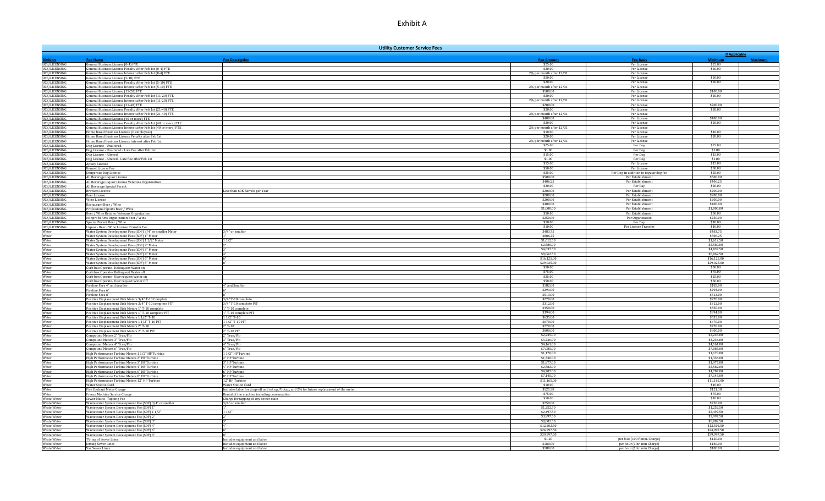|                                       |                                                                                                                                     | <b>Utility Customer Service Fees</b>                                                        |                                      |                                        |                                 |                |
|---------------------------------------|-------------------------------------------------------------------------------------------------------------------------------------|---------------------------------------------------------------------------------------------|--------------------------------------|----------------------------------------|---------------------------------|----------------|
|                                       |                                                                                                                                     |                                                                                             | <b>Fee Amoun</b>                     |                                        | <b>If Applicable</b><br>Minimur |                |
| UCS/LICENSING                         | <b>Fee Name</b><br>General Business License (0-4) FTE                                                                               | <b>Fee Description</b>                                                                      | \$25.00                              | <b>Fee Basis</b><br>Per License        | \$25.00                         | <b>Maximum</b> |
| UCS/LICENSING                         | General Business License Penalty After Feb 1st (0-4) FTE                                                                            |                                                                                             | \$20.00                              | Per License                            | \$20.00                         |                |
| UCS/LICENSING                         | General Business License Interest after Feb 1st (0-4) FTE                                                                           |                                                                                             | 2% per month after 12/31             | Per License                            |                                 |                |
| UCS/LICENSING                         | General Business License (5-10) FTE                                                                                                 |                                                                                             | \$50.00                              | Per License                            | \$50.00                         |                |
| UCS/LICENSING                         | General Business License Penalty After Feb 1st (5-10) FTE                                                                           |                                                                                             | \$20.00                              | Per License                            | \$20.00                         |                |
| UCS/LICENSING<br>UCS/LICENSING        | General Business License Interest after Feb 1st (5-10) FTE<br>General Business License (11-20) FTE                                  |                                                                                             | 2% per month after 12/31<br>\$100.00 | Per License<br>Per License             | \$100.00                        |                |
| <b>UCS/LICENSING</b>                  | General Business License Penalty After Feb 1st (11-20) FTE                                                                          |                                                                                             | \$20.00                              | Per License                            | \$20.00                         |                |
| UCS/LICENSING                         | General Business License Interest after Feb 1st (11-20) FTE                                                                         |                                                                                             | 2% per month after 12/31             | Per License                            |                                 |                |
| UCS/LICENSING                         | General Business License (21-40) FTE                                                                                                |                                                                                             | \$200.00                             | Per License                            | \$200.00                        |                |
| <b>UCS/LICENSING</b>                  | General Business License Penalty After Feb 1st (21-40) FTE                                                                          |                                                                                             | \$20.00                              | Per License                            | \$20.00                         |                |
| UCS/LICENSING                         | General Business License Interest after Feb 1st (21-40) FTE                                                                         |                                                                                             | 2% per month after 12/31             | Per License                            |                                 |                |
| UCS/LICENSING                         | General Business License (40 or more) FTE                                                                                           |                                                                                             | \$400.00                             | Per License                            | \$400.00                        |                |
| UCS/LICENSING<br>UCS/LICENSING        | General Business License Penalty After Feb 1st (40 or more) FTE<br>General Business License Interest after Feb 1st (40 or more) FTE |                                                                                             | \$20.00<br>2% per month after 12/31  | Per License<br>Per License             | \$20.00                         |                |
| UCS/LICENSING                         | Home Based Business License (0 employees)                                                                                           |                                                                                             | \$10.00                              | Per License                            | \$10.00                         |                |
| <b>UCS/LICENSING</b>                  | Home Based Business License Penalty after Feb 1st                                                                                   |                                                                                             | \$20.00                              | Per License                            | \$20.00                         |                |
| <b>UCS/LICENSING</b>                  | Iome Based Business License interest after Feb 1st                                                                                  |                                                                                             | 2% per month after 12/31             | Per License                            |                                 |                |
| <b>UCS/LICENSING</b>                  | Dog License - Unaltered                                                                                                             |                                                                                             | \$25.00                              | Per Dog                                | \$25.00                         |                |
| UCS/LICENSING                         | Dog License - Unaltered - Late Fee after Feb 1st                                                                                    |                                                                                             | \$1.00                               | Per Dog                                | \$1.00                          |                |
| <b>UCS/LICENSING</b>                  | Dog License - Altered                                                                                                               |                                                                                             | \$15.00<br>\$1.00                    | Per Dog                                | \$15.00<br>\$1.00               |                |
| UCS/LICENSING<br>UCS/LICENSING        | Dog License - Altered - Late Fee after Feb 1st<br>Apiary License                                                                    |                                                                                             | \$15.00                              | Per Dog<br>Per License                 | \$15.00                         |                |
| <b>UCS/LICENSING</b>                  | Kennel License Fee                                                                                                                  |                                                                                             | \$50.00                              | Per License                            | \$50.00                         |                |
| UCS/LICENSING                         | Dangerous Dog License                                                                                                               |                                                                                             | \$25.00                              | Per Dog-in addition to regular dog fee | \$25.00                         |                |
| UCS/LICENSING                         | All Beverage Liquor License                                                                                                         |                                                                                             | \$500.00                             | Per Establishment                      | \$500.00                        |                |
| UCS/LICENSING                         | All Beverage Liquor License Veterans Organization                                                                                   |                                                                                             | \$406.25                             | Per Establishmen                       | \$406.25                        |                |
| UCS/LICENSING                         | All Beverage Special Permit                                                                                                         |                                                                                             | \$20.00                              | Per Day                                | \$20.00                         |                |
| UCS/LICENSING                         | <b>Brewers License</b>                                                                                                              | ess than 60K Barrels per Year                                                               | \$200.00<br>\$200.00                 | Per Establishment<br>Per Establishment | \$200.00<br>\$200.00            |                |
| UCS/LICENSING<br><b>UCS/LICENSING</b> | Beer License<br>Wine License                                                                                                        |                                                                                             | \$200.00                             | Per Establishment                      | \$200.00                        |                |
| UCS/LICENSING                         | Restaurant Beer / Wine                                                                                                              |                                                                                             | \$400.00                             | Per Establishment                      | \$400.00                        |                |
| UCS/LICENSING                         | Professional Sports Beer / Wine                                                                                                     |                                                                                             | \$1,000.00                           | Per Establishment                      | \$1,000.00                      |                |
| UCS/LICENSING                         | Beer / Wine Retailer Veterans Organization                                                                                          |                                                                                             | \$50.00                              | Per Establishment                      | \$50.00                         |                |
| UCS/LICENSING                         | Nonprofit Arts Organization Beer / Wine                                                                                             |                                                                                             | \$250.00                             | Per Organization                       | \$250.00                        |                |
| UCS/LICENSING                         | Special Permit Beer / Wine                                                                                                          |                                                                                             | \$10.00                              | Per Day                                | \$10.00                         |                |
| UCS/LICENSING                         | Liquor - Beer - Wine License Transfer Fee                                                                                           |                                                                                             | \$10.00                              | Per License Transfer                   | \$10.00                         |                |
| Water<br>Water                        | Water System Development Fees (SDF) 3/4" or smaller Meter                                                                           | 3/4" or smaller                                                                             | \$483.75<br>\$806.25                 |                                        | \$483.75<br>\$806.25            |                |
| Water                                 | Water System Development Fees (SDF) 1" Meter<br>Water System Development Fees (SDF) 1 1/2" Meter                                    | 11/2"                                                                                       | \$1,612.50                           |                                        | \$1,612.50                      |                |
| Water                                 | Water System Development Fees (SDF) 2" Meter                                                                                        |                                                                                             | \$2,580.00                           |                                        | \$2,580.00                      |                |
| Water                                 | Water System Development Fees (SDF) 3" Meter                                                                                        |                                                                                             | \$4,837.50                           |                                        | \$4,837.50                      |                |
| Water                                 | Water System Development Fees (SDF) 4" Meter                                                                                        |                                                                                             | \$8,062.50                           |                                        | \$8,062.50                      |                |
| Water                                 | Water System Development Fees (SDF) 6" Meter                                                                                        |                                                                                             | \$16,125.00                          |                                        | \$16,125.00                     |                |
| Water                                 | Water System Development Fees (SDF) 8" Meter                                                                                        |                                                                                             | \$29,025.00                          |                                        | \$29,025.00                     |                |
| Water<br>Water                        | Curb box Operate- Delinquent Water on                                                                                               |                                                                                             | \$50.00<br>\$75.00                   |                                        | \$50.00<br>\$75.00              |                |
| Water                                 | Curb box Operate- Delinquent Water off<br>Curb box Operate- User request Water on                                                   |                                                                                             | \$25.00                              |                                        | \$25.00                         |                |
| Water                                 | Curb box Operate- User request Water Off                                                                                            |                                                                                             | \$50.00                              |                                        | \$50.00                         |                |
| Water                                 | Fireline Fees 4" and smaller                                                                                                        | " and Smaller                                                                               | \$182.00                             |                                        | \$182.00                        |                |
| Water                                 | Fireline Fees 6"                                                                                                                    |                                                                                             | \$293.00                             |                                        | \$293.00                        |                |
| Water                                 | Fireline Fees 8"                                                                                                                    |                                                                                             | \$513.00                             |                                        | \$513.00                        |                |
| Water                                 | Positive Displacement Disk Meters 3/4" T-10 Complete                                                                                | 3/4" T-10 complete                                                                          | \$270.00                             |                                        | \$270.00                        |                |
| Water<br>Water                        | Positive Displacement Disk Meters 3/4" T-10 complete PIT                                                                            | 3/4" T-10 complete PIT                                                                      | \$312.00<br>\$350.00                 |                                        | \$312.00<br>\$350.00            |                |
| Water                                 | Positive Displacement Disk Meters 1" T-10 complete<br>Positive Displacement Disk Meters 1" T-10 complete PIT                        | <sup>1</sup> T-10 complete<br>"T-10 complete PIT                                            | \$394.00                             |                                        | \$394.00                        |                |
| Water                                 | Positive Displacement Disk Meters 1 1/2" T-10                                                                                       | $11/2$ " T-10                                                                               | \$635.00                             |                                        | \$635.00                        |                |
| Water                                 | Positive Displacement Disk Meters 1 1/2" T-10 PIT                                                                                   | 1 1/2" T-10 PIT                                                                             | \$670.00                             |                                        | \$670.00                        |                |
| Water                                 | Positive Displacement Disk Meters 2" T-10                                                                                           | 2" T-10                                                                                     | \$770.00                             |                                        | \$770.00                        |                |
| Water                                 | Positive Displacement Disk Meters 2" T-10 PIT                                                                                       | 2" T-10 PIT                                                                                 | \$800.00                             |                                        | \$800.00                        |                |
| Water                                 | Compound Meters 2" True/Flo                                                                                                         | 2" True/Flo                                                                                 | \$2,235.00<br>\$3,236,00             |                                        | \$2,235.00<br>\$3,236.00        |                |
| Water<br>Water                        | Compound Meters 3" True/Flo<br>Compound Meters 4" True/Flo                                                                          | 3" True/Flo<br>4" True/Flo                                                                  | \$4,161.00                           |                                        | \$4,161.00                      |                |
| Water                                 | Compound Meters 6" True/Flo                                                                                                         | 6" True/Flo                                                                                 | \$7,085.00                           |                                        | \$7,085.00                      |                |
| Water                                 | High Performance Turbine Meters 1 1/2" HP Turbine                                                                                   | 1/2" HP Turbir                                                                              | \$1,170.00                           |                                        | \$1,170.00                      |                |
| Water                                 | High Performance Turbine Meters 2" HP Turbine                                                                                       | 2" HP Turbine                                                                               | \$1,336.00                           |                                        | \$1,336.00                      |                |
| Water                                 | High Performance Turbine Meters 3" HP Turbine                                                                                       | 3" HP Turbine                                                                               | \$1,977.00                           |                                        | \$1,977.00                      |                |
| Water                                 | High Performance Turbine Meters 4" HP Turbine                                                                                       | 4" HP Turbine                                                                               | \$2,582.00                           |                                        | \$2,582.00                      |                |
| Water                                 | High Performance Turbine Meters 6" HP Turbine                                                                                       | "HP Turbine                                                                                 | \$4,707.00                           |                                        | \$4,707.00                      |                |
| Water<br>Water                        | High Performance Turbine Meters 8" HP Turbine<br>High Performance Turbine Meters 12" HP Turbine                                     | 8" HP Turbine<br>12" HP Turbine                                                             | \$7,145.00<br>\$11.165.00            |                                        | \$7,145.00<br>\$11.165.00       |                |
| Water                                 | Water Station Card                                                                                                                  | <b>Water Station Card</b>                                                                   | \$10.00                              |                                        | \$10.00                         |                |
| Water                                 | Fire Hydrant Meter Charge                                                                                                           | includes labor for drop-off and set up, Pickup, and 2% for future replacement of the meter. | \$121.38                             |                                        | \$121.38                        |                |
| Water                                 | Freeze Machine Service Charge                                                                                                       | Rental of the machine including consumables.                                                | \$75.00                              |                                        | \$75.00                         |                |
| <b>Waste Water</b>                    | Sewer Mains-Tapping Fee                                                                                                             | Charge for tapping of city sewer main                                                       | \$10.00                              |                                        | \$10.00                         |                |
| <b>Waste Water</b>                    | Wastewater System Development Fee (SDF) 3/4" or smaller                                                                             | 3/4" or smaller                                                                             | \$750.00                             |                                        | \$750.00                        |                |
| Waste Water                           | Wastewater System Development Fee (SDF) 1"                                                                                          |                                                                                             | \$1,252.50                           |                                        | \$1,252.50                      |                |
| Waste Water                           | Wastewater System Development Fee (SDF) 1 1/2'                                                                                      | 11/2"                                                                                       | \$2,497.50                           |                                        | \$2,497.50<br>\$3,997.50        |                |
| Waste Water                           | Wastewater System Development Fee (SDF) 2"                                                                                          |                                                                                             | \$3,997.50<br>\$8,002.50             |                                        | \$8,002.50                      |                |
| <b>Waste Water</b><br>Waste Water     | Wastewater System Development Fee (SDF) 3"<br>Wastewater System Development Fee (SDF) 4"                                            |                                                                                             | \$12,502.50                          |                                        | \$12,502.50                     |                |
| Waste Water                           | Wastewater System Development Fee (SDF) 6'                                                                                          |                                                                                             | \$24,997.50                          |                                        | \$24,997.50                     |                |
| <b>Waste Water</b>                    | Wastewater System Development Fee (SDF) 8"                                                                                          |                                                                                             | \$39,997.50                          |                                        | \$39,997.50                     |                |
| Waste Water                           | TV-ing of Sewer Lines                                                                                                               | Includes equipment and labor                                                                | \$1.20                               | per foot (100 ft min. Charge)          | \$120.00                        |                |
| Waste Water                           | <b>Jetting Sewer Lines</b>                                                                                                          | Includes equipment and labor                                                                | \$180,00                             | per hour (1 hr. min Charge)            | \$180.00                        |                |
| Waste Water                           | Vac Sewer Lines                                                                                                                     | Includes equipment and labor                                                                | \$180.00                             | per hour (1 hr. min Charge)            | \$180.00                        |                |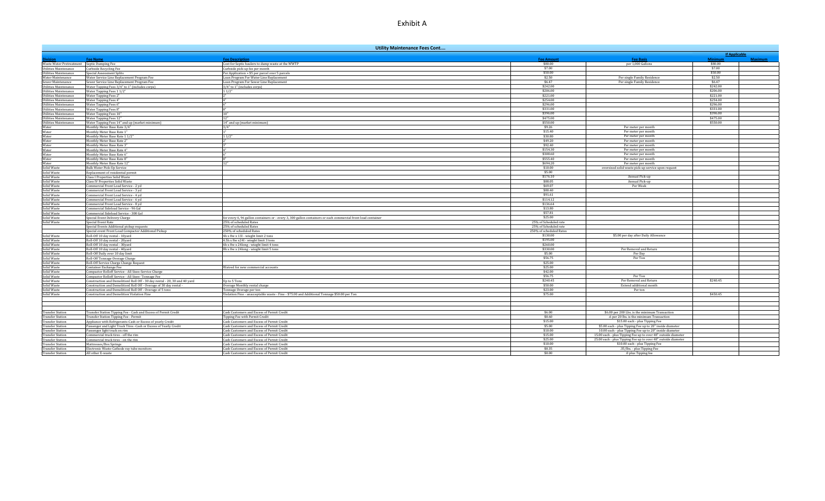|                                                              |                                                                                                   | <b>Utility Maintenance Fees Cont</b>                                                                                                    |                                  |                                                               |                      |                |
|--------------------------------------------------------------|---------------------------------------------------------------------------------------------------|-----------------------------------------------------------------------------------------------------------------------------------------|----------------------------------|---------------------------------------------------------------|----------------------|----------------|
|                                                              |                                                                                                   |                                                                                                                                         |                                  |                                                               | <b>If Applicable</b> |                |
| ision                                                        | <b>Fee Name</b>                                                                                   | <b>Fee Description</b>                                                                                                                  | <b>Fee Amount</b>                | <b>Fee Basis</b>                                              | <b>Minimum</b>       | <b>Maximum</b> |
| Waste Water Pretreatment Septic Dumping Fee                  |                                                                                                   | Cost for Septic haulers to dump waste at the WWTP                                                                                       | \$80.00<br>\$7.00                | per 1,000 Gallons                                             | \$80.00<br>\$7.00    |                |
| <b>Utilities Maintenance</b><br><b>Utilities Maintenance</b> | <b>Curbside Recycling Fee</b><br>Special Assessment Splits                                        | Curbside pick-up fee per month<br>Per Application + \$5 per parcel over 5 parcels                                                       | \$50.00                          |                                                               | \$50.00              |                |
| Water Maintenance                                            | Water Service Line Replacement Program Fee                                                        | .oan Program For Water Line Replacement                                                                                                 | \$2.50                           | Per single Family Residence                                   | \$2.50               |                |
| Sewer Maintenance                                            | Sewer Service Line Replacement Program Fee                                                        | Loan Program For Sewer Line Replacement                                                                                                 | \$6.47                           | Per single Family Residence                                   | \$6.47               |                |
| <b>Utilities Maintenance</b>                                 | Water Tapping Fees 3/4" to 1" (includes corps)                                                    | 3/4" to 1" (includes corps)                                                                                                             | \$242.00                         |                                                               | \$242.00             |                |
| <b>Utilities Maintenance</b>                                 | Water Tapping Fees 1 1/2"                                                                         | 11/2"                                                                                                                                   | \$206.00                         |                                                               | \$206.00             |                |
| <b>Utilities Maintenance</b>                                 | Water Tapping Fees 2"                                                                             | 2"                                                                                                                                      | \$221.00                         |                                                               | \$221.00             |                |
| Utilities Maintenance                                        | Water Tapping Fees 4"                                                                             | $\mathbf{A}^{\mathbf{m}}$                                                                                                               | \$254.00                         |                                                               | \$254.00             |                |
| <b>Utilities Maintenance</b>                                 | Water Tapping Fees 6"                                                                             | 6"                                                                                                                                      | \$296.00                         |                                                               | \$296.00             |                |
| Utilities Maintenance                                        | Water Tapping Fees 8"                                                                             |                                                                                                                                         | \$331.00                         |                                                               | \$331.00             |                |
| <b>Utilities Maintenance</b>                                 | Water Tapping Fees 10"                                                                            | 10"                                                                                                                                     | \$396.00                         |                                                               | \$396.00             |                |
| <b>Utilities Maintenance</b>                                 | Water Tapping Fees 12"                                                                            |                                                                                                                                         | \$475.00                         |                                                               | \$475.00             |                |
| <b>Utilities Maintenance</b>                                 | Water Tapping Fees 14" and up (market minimum)                                                    | 14" and up (market minimum)                                                                                                             | \$550.00                         |                                                               | \$550.00             |                |
| Water                                                        | Monthly Meter Base Rate 3/4"                                                                      | 3/4"                                                                                                                                    | \$9.26                           | Per meter per month                                           |                      |                |
| Water                                                        | Monthly Meter Base Rate 1'                                                                        |                                                                                                                                         | \$15.40<br>\$30.80               | Per meter per month<br>Per meter per month                    |                      |                |
| Water                                                        | Monthly Meter Base Rate 1 1/2                                                                     | 11/2"                                                                                                                                   |                                  |                                                               |                      |                |
| Water<br>Water                                               | Monthly Meter Base Rate 2'<br>Monthly Meter Base Rate 3'                                          | 2"                                                                                                                                      | \$49.20<br>\$92.40               | Per meter per month<br>Per meter per month                    |                      |                |
| Water                                                        | Monthly Meter Base Rate 4'                                                                        | $A^*$                                                                                                                                   | \$154.30                         | Per meter per month                                           |                      |                |
| Water                                                        | Monthly Meter Base Rate 6'                                                                        |                                                                                                                                         | \$308.60                         | Per meter per month                                           |                      |                |
| Water                                                        | Monthly Meter Base Rate 8'                                                                        |                                                                                                                                         | \$555.40                         | Per meter per month                                           |                      |                |
| Water                                                        | Monthly Meter Base Rate 12'                                                                       |                                                                                                                                         | \$694.20                         | Per meter per month                                           |                      |                |
| Solid Waste                                                  | <b>Bulk Water Pick-Up Service</b>                                                                 |                                                                                                                                         | \$10.00                          | oversized solid waste pick-up service upon request            |                      |                |
| Solid Waste                                                  | Replacement of residential permit                                                                 |                                                                                                                                         | \$5.00                           |                                                               |                      |                |
| Solid Waste                                                  | <b>Class I Properties Solid Waste</b>                                                             |                                                                                                                                         | \$176.10                         | Annual Pick-up                                                |                      |                |
| Solid Waste                                                  | <b>Class IV Properties Solid Waste</b>                                                            |                                                                                                                                         | \$88.05                          | Annual Pick-up                                                |                      |                |
| Solid Waste                                                  | Commercial Front Load Service - 2 yd                                                              |                                                                                                                                         | \$69.07                          | Per Week                                                      |                      |                |
| Solid Waste                                                  | Commercial Front Load Service - 3 yd                                                              |                                                                                                                                         | \$80.40                          |                                                               |                      |                |
| Solid Waste                                                  | Commercial Front Load Service - 4 vd                                                              |                                                                                                                                         | \$91.61                          |                                                               |                      |                |
| Solid Waste                                                  | Commercial Front Load Service - 6 yd                                                              |                                                                                                                                         | \$114.12                         |                                                               |                      |                |
| Solid Waste                                                  | Commercial Front Load Service - 8 yd                                                              |                                                                                                                                         | \$136.64                         |                                                               |                      |                |
| Solid Waste                                                  | Commercial Sideload Service - 96 Gal                                                              |                                                                                                                                         | \$13.80                          |                                                               |                      |                |
| Solid Waste                                                  | Commercial Sideload Service - 300 Gal                                                             |                                                                                                                                         | \$57.81                          |                                                               |                      |                |
| Solid Waste                                                  | Special Event Delivery Charge                                                                     | for every 6, 96 gallon containers or - every 3, 300 gallon containers or each commercial front load container<br>25% of scheduled Rates | \$25.00<br>25% of Scheduled rate |                                                               |                      |                |
| Solid Waste                                                  | Special Event Rate                                                                                | 25% of scheduled Rates                                                                                                                  | 25% of Scheduled rate            |                                                               |                      |                |
|                                                              | Special Events Additional pickup requests<br>Special event Front Load Compactor Additional Pickup | 250% of scheduled Rates                                                                                                                 | 250% of scheduled Rates          |                                                               |                      |                |
| Solid Waste                                                  | Roll-Off 10 day rental - 10vard                                                                   | 4h x 8w x 13l - wieght limit 2 tons                                                                                                     | \$130.00                         | \$5.00 per day after Daily Allowance                          |                      |                |
| Solid Waste                                                  | Roll-Off 10 day rental - 20yard                                                                   | 4.5h x 8w x24l - wieght limit 3 tons                                                                                                    | \$195.00                         |                                                               |                      |                |
| Solid Waste                                                  | Roll-Off 10 day rental - 30yard                                                                   | 6h x 8w x 24long - wieght limit 4 tons                                                                                                  | \$260.00                         |                                                               |                      |                |
| Solid Waste                                                  | Roll-Off 10 day rental - 40yard                                                                   | 8h x 8w x 24long - wieght limit 5 tons                                                                                                  | \$330.00                         | Per Removal and Return                                        |                      |                |
| Solid Waste                                                  | Roll-Off Daily over 10 day limit                                                                  |                                                                                                                                         | \$5.00                           | Per Day                                                       |                      |                |
| Solid Waste                                                  | Roll-Off Tonnage Overage Charge                                                                   |                                                                                                                                         | \$56.75                          | Per Ton                                                       |                      |                |
| Solid Waste                                                  | Roll-Off Service Charge Change Request                                                            |                                                                                                                                         | \$25.00                          |                                                               |                      |                |
| Solid Waste                                                  | Container Exchange Fee                                                                            | Waived for new commercial accounts                                                                                                      | \$25.00                          |                                                               |                      |                |
| Solid Waste                                                  | Compactor Rolloff Service - All Sizes-Service Charge                                              |                                                                                                                                         | \$42.00                          |                                                               |                      |                |
| Solid Waste                                                  | Compactor Rolloff Service - All Sizes- Tonnage Fee                                                |                                                                                                                                         | \$56.75                          | Per Ton                                                       |                      |                |
| Solid Waste                                                  | Construction and Demolitionl Roll Off - 30 day rental - 20, 30 and 40 yard                        | Up to 5 Tons                                                                                                                            | \$240.45                         | Per Removal and Return                                        | \$240.45             |                |
| Solid Waste                                                  | Construction and Demolitionl Roll Off - Overage of 30 day rental -                                | Overage Monthly rental charge                                                                                                           | \$50.00<br>\$23.00               | Extend additional month                                       |                      |                |
| Solid Waste                                                  | Construction and Demolitionl Roll Off - Overage of 5 tons                                         | <b>Tonnage Overage per ton</b>                                                                                                          | \$75.00                          | Per ton                                                       | \$450.45             |                |
| Solid Waste                                                  | Construction and Demolition Violation Fine                                                        | Violation Fine - unacceptable waste - Fine - \$75.00 and Additional Tonnage \$50.00 per Ton                                             |                                  |                                                               |                      |                |
| <b>Transfer Station</b>                                      | Transfer Station Tipping Fee - Cash and Excess of Permit Credit                                   | Cash Customers and Excess of Permit Credit                                                                                              | \$6.00                           | \$6.00 per 200 Lbs. is the minimum Transaction                |                      |                |
| <b>Transfer Station</b>                                      | Transfer Station Tipping Fee - Permit                                                             | Tipping Fee with Permit Credit                                                                                                          | \$0.60                           | .6 per 20 lbs. is the minimum Transaction                     |                      |                |
| <b>Transfer Station</b>                                      | Appliance with Refrigerants-Cash or Excess of yearly Credit                                       | Cash Customers and Excess of Permit Credit                                                                                              | \$15.00                          | \$15.00 each - plus Tipping Fee                               |                      |                |
| <b>Transfer Station</b>                                      | Passenger and Light Truck Tires -Cash or Excess of Yearly Credit                                  | Cash Customers and Excess of Permit Credit                                                                                              | \$5.00                           | \$5.00 each - plus Tipping Fee up to 20" inside diameter      |                      |                |
| <b>Transfer Station</b>                                      | Passenger light truck on rim                                                                      | Cash Customers and Excess of Permit Credit                                                                                              | \$10.00                          | 10.00 each - plus Tipping Fee up to 20" inside diameter       |                      |                |
| <b>Transfer Station</b>                                      | Commercial truck tires - off the rim                                                              | Cash Customers and Excess of Permit Credit                                                                                              | \$15.00                          | 15.00 each - plus Tipping Fee up to over 48" outside diameter |                      |                |
| <b>Transfer Station</b>                                      | Commercial truck tires - on the rim                                                               | Cash Customers and Excess of Permit Credit                                                                                              | \$25.00                          | 25.00 each - plus Tipping Fee up to over 48" outside diameter |                      |                |
| <b>Transfer Station</b>                                      | Mattresses/Box Springs                                                                            | Cash Customers and Excess of Permit Credit                                                                                              | \$10.00                          | \$10.00 each - plus Tipping Fee                               |                      |                |
| <b>Transfer Station</b>                                      | Electronic Waste-Cathode ray tube monitors                                                        | Cash Customers and Excess of Permit Credit                                                                                              | \$0.35                           | .35/lbs. - plus Tipping Fee                                   |                      |                |
| <b>Transfer Station</b>                                      | All other E-waste                                                                                 | Cash Customers and Excess of Permit Credit                                                                                              | \$0.00                           | .0 plus Tipping fee                                           |                      |                |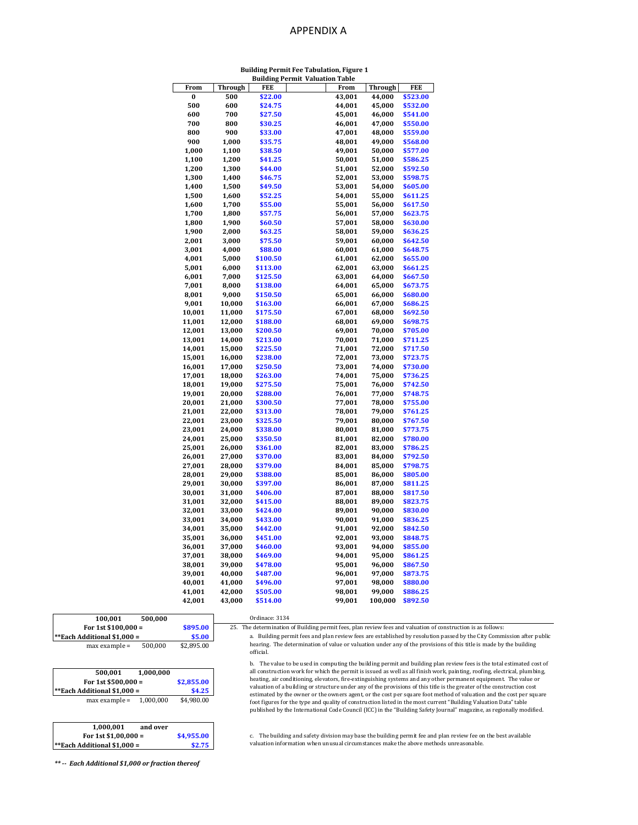#### APPENDIX A

#### **Building Permit Fee Tabulation, Figure 1 Building Permit Valuation Table**

| From   | Through | punung<br>FEE | стинг<br>v aluativii<br>1 avit<br>From | Through | FEE      |
|--------|---------|---------------|----------------------------------------|---------|----------|
| 0      | 500     | \$22.00       | 43,001                                 | 44,000  | \$523.00 |
|        |         |               |                                        |         |          |
| 500    | 600     | \$24.75       | 44,001                                 | 45,000  | \$532.00 |
| 600    | 700     | \$27.50       | 45,001                                 | 46,000  | \$541.00 |
| 700    | 800     | \$30.25       | 46,001                                 | 47,000  | \$550.00 |
| 800    | 900     | \$33.00       | 47,001                                 | 48,000  | \$559.00 |
| 900    | 1,000   | \$35.75       | 48,001                                 | 49,000  | \$568.00 |
| 1,000  | 1,100   | \$38.50       | 49,001                                 | 50,000  | \$577.00 |
| 1,100  | 1,200   | \$41.25       | 50,001                                 | 51,000  | \$586.25 |
| 1,200  | 1,300   | \$44.00       | 51,001                                 | 52,000  | \$592.50 |
| 1,300  | 1,400   | \$46.75       | 52,001                                 | 53,000  | \$598.75 |
| 1,400  | 1,500   | \$49.50       | 53,001                                 | 54,000  | \$605.00 |
| 1,500  | 1,600   | \$52.25       | 54,001                                 | 55,000  | \$611.25 |
| 1,600  | 1,700   | \$55.00       | 55,001                                 | 56,000  | \$617.50 |
| 1,700  | 1,800   | \$57.75       | 56,001                                 | 57,000  | \$623.75 |
| 1,800  | 1,900   | \$60.50       | 57,001                                 | 58,000  | \$630.00 |
| 1,900  | 2,000   | \$63.25       | 58,001                                 | 59,000  | \$636.25 |
| 2,001  | 3,000   | \$75.50       | 59,001                                 | 60,000  | \$642.50 |
| 3,001  | 4,000   | \$88.00       | 60,001                                 | 61,000  | \$648.75 |
| 4,001  | 5,000   | \$100.50      | 61,001                                 | 62,000  | \$655.00 |
| 5,001  | 6,000   | \$113.00      | 62,001                                 | 63,000  | \$661.25 |
| 6,001  | 7,000   | \$125.50      | 63,001                                 | 64,000  | \$667.50 |
| 7,001  | 8,000   | \$138.00      | 64,001                                 | 65,000  | \$673.75 |
| 8,001  | 9,000   | \$150.50      | 65,001                                 | 66,000  | \$680.00 |
| 9,001  | 10,000  | \$163.00      | 66,001                                 | 67,000  | \$686.25 |
| 10,001 | 11,000  | \$175.50      | 67,001                                 | 68,000  | \$692.50 |
| 11,001 | 12,000  | \$188.00      | 68,001                                 | 69,000  | \$698.75 |
| 12,001 | 13,000  | \$200.50      | 69,001                                 | 70,000  | \$705.00 |
| 13,001 | 14,000  | \$213.00      | 70,001                                 | 71,000  | \$711.25 |
| 14,001 | 15,000  | \$225.50      | 71,001                                 | 72,000  | \$717.50 |
| 15,001 | 16,000  | \$238.00      | 72,001                                 | 73,000  | \$723.75 |
| 16,001 | 17,000  | \$250.50      | 73,001                                 | 74,000  | \$730.00 |
| 17,001 | 18,000  | \$263.00      | 74,001                                 | 75,000  | \$736.25 |
| 18,001 | 19,000  | \$275.50      | 75,001                                 | 76,000  | \$742.50 |
| 19,001 | 20,000  | \$288.00      | 76,001                                 | 77,000  | \$748.75 |
| 20,001 | 21,000  | \$300.50      | 77,001                                 | 78,000  | \$755.00 |
| 21,001 | 22,000  | \$313.00      | 78,001                                 | 79,000  | \$761.25 |
| 22,001 | 23,000  | \$325.50      | 79,001                                 | 80,000  | \$767.50 |
| 23,001 | 24,000  | \$338.00      | 80,001                                 | 81,000  | \$773.75 |
| 24,001 | 25,000  | \$350.50      | 81,001                                 | 82,000  | \$780.00 |
| 25,001 | 26,000  | \$361.00      | 82,001                                 | 83,000  | \$786.25 |
| 26,001 | 27,000  | \$370.00      | 83,001                                 | 84,000  | \$792.50 |
| 27,001 | 28,000  | \$379.00      | 84,001                                 | 85,000  | \$798.75 |
| 28,001 | 29,000  | \$388.00      | 85,001                                 | 86,000  | \$805.00 |
| 29,001 | 30,000  | \$397.00      | 86,001                                 | 87,000  | \$811.25 |
|        |         |               |                                        |         |          |
| 30,001 | 31,000  | \$406.00      | 87,001                                 | 88,000  | \$817.50 |
| 31,001 | 32,000  | \$415.00      | 88,001                                 | 89,000  | \$823.75 |
| 32,001 | 33,000  | \$424.00      | 89,001                                 | 90,000  | \$830.00 |
| 33,001 | 34,000  | \$433.00      | 90,001                                 | 91,000  | \$836.25 |
| 34,001 | 35,000  | \$442.00      | 91,001                                 | 92,000  | \$842.50 |
| 35,001 | 36,000  | \$451.00      | 92,001                                 | 93,000  | \$848.75 |
| 36,001 | 37,000  | \$460.00      | 93,001                                 | 94,000  | \$855.00 |
| 37,001 | 38,000  | \$469.00      | 94,001                                 | 95,000  | \$861.25 |
| 38,001 | 39,000  | \$478.00      | 95,001                                 | 96,000  | \$867.50 |
| 39,001 | 40,000  | \$487.00      | 96,001                                 | 97,000  | \$873.75 |
| 40,001 | 41,000  | \$496.00      | 97,001                                 | 98,000  | \$880.00 |
| 41,001 | 42,000  | \$505.00      | 98,001                                 | 99,000  | \$886.25 |
| 42,001 | 43,000  | \$514.00      | 99,001                                 | 100,000 | \$892.50 |
|        |         |               |                                        |         |          |

Ordinace: 3134

official.

| 100.001              | 500.000 |           | Ordinace: 3134                                                                                           |  |
|----------------------|---------|-----------|----------------------------------------------------------------------------------------------------------|--|
| For 1st $$100.000 =$ |         | \$895.00  | The determination of Building permit fees, plan review fees and valuation of construction is as follows: |  |
| <br>$\cdots$         |         | $- - - -$ |                                                                                                          |  |

| **Each Additional \$1,000 = | \$5.00  |            |
|-----------------------------|---------|------------|
| $max$ example =             | 500,000 | \$2,895.00 |

| 500.001                            | 1.000.000  |        |
|------------------------------------|------------|--------|
| For 1st $$500,000 =$               | \$2.855.00 |        |
| <b>**Each Additional \$1,000 =</b> |            |        |
|                                    |            | \$4.25 |

| 1.000.001<br>and over              |            |
|------------------------------------|------------|
| For 1st $$1,00,000 =$              | \$4,955.00 |
| <b>**Each Additional \$1,000 =</b> | \$2.75     |

c. The building and safety division may base the building permit fee and plan review fee on the best available valuation information when unusual circumstances make the above methods unreasonable.

a. Building permit fees and plan review fees are established by resolution passed by the City Commission after public hearing. The determination of value or valuation under any of the provisions of this title is made by the building

b. The value to be used in computing the building permit and building plan review fees is the total estimated cost of<br>all construction work for which the permit is issued as well as all finish work, painting, roofing, elec heating, air conditioning, elevators, fire-extinguishing systems and any other permanent equipment. The value or valuation of a building or structure under any of the provisions of this title is the greater of the construction cost estimated by the owner or the owners agent, or the cost per square foot method of valuation and the cost per square<br>foot figures for the type and quality of construction listed in the most current "Building Valuation Data"

*\*\* -- Each Additional \$1,000 or fraction thereof*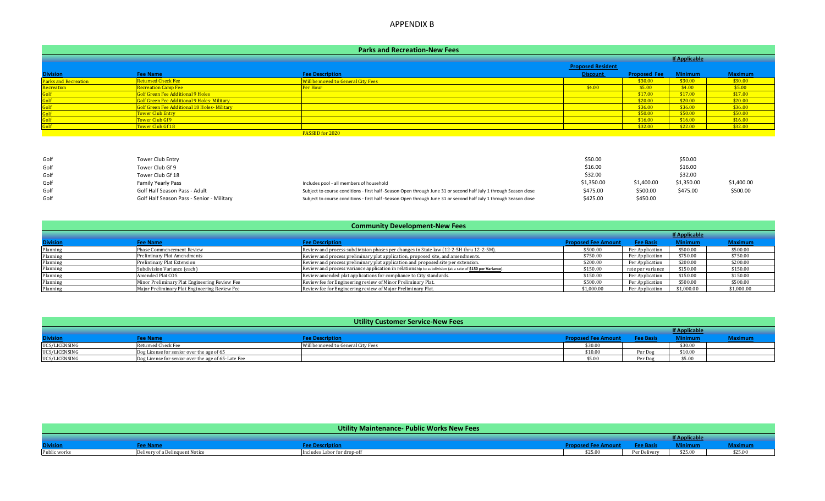### APPENDIX B

### **Parks and Recreation-New Fees**

|                             |                                              |                                    | <b>Proposed Resident</b> |                     |                |                |  |  |  |
|-----------------------------|----------------------------------------------|------------------------------------|--------------------------|---------------------|----------------|----------------|--|--|--|
| <b>Division</b>             | <b>Fee Name</b>                              | <b>Fee Description</b>             | <b>Discount</b>          | <b>Proposed Fee</b> | <b>Minimum</b> | <b>Maximum</b> |  |  |  |
| <b>Parks and Recreation</b> | Returned Check Fee                           | Will be moved to General City Fees |                          | \$30.00             | \$30.00        | \$30.00        |  |  |  |
| Recreation                  | <b>Recreation Camp Fee</b>                   | Per Hour                           | \$4.00                   | \$5.00              | \$4.00         | \$5.00         |  |  |  |
|                             | Golf Green Fee Additional 9 Holes            |                                    |                          | \$17.00             | \$17.00        | \$17.00        |  |  |  |
|                             | Golf Green Fee Additional 9 Holes- Military  |                                    |                          | \$20.00             | \$20.00        | \$20.00        |  |  |  |
|                             | Golf Green Fee Additional 18 Holes- Military |                                    |                          | \$36.00             | \$36.00        | \$36.00        |  |  |  |
|                             | <b>Tower Club Entry</b>                      |                                    |                          | \$50.00             | \$50.00        | \$50.00        |  |  |  |
|                             | Tower Club Gf 9                              |                                    |                          | \$16.00             | \$16.00        | \$16.00        |  |  |  |
|                             | Tower Club Gf 18                             |                                    |                          | \$32.00             | \$22.00        | \$32.00        |  |  |  |
|                             | PASSED for 2020                              |                                    |                          |                     |                |                |  |  |  |

| Golf | <b>Tower Club Entry</b>                   |                                                                                                                   | \$50.00    |            | \$50.00    |            |
|------|-------------------------------------------|-------------------------------------------------------------------------------------------------------------------|------------|------------|------------|------------|
| Golf | Tower Club Gf 9                           |                                                                                                                   | \$16.00    |            | \$16.00    |            |
| Golf | Tower Club Gf 18                          |                                                                                                                   | \$32.00    |            | \$32.00    |            |
| Golf | <b>Family Yearly Pass</b>                 | Includes pool - all members of household                                                                          | \$1,350.00 | \$1,400.00 | \$1,350.00 | \$1,400.00 |
| Golf | Golf Half Season Pass - Adult             | Subject to course conditions - first half -Season Open through June 31 or second half July 1 through Season close | \$475.00   | \$500.00   | \$475.00   | \$500.00   |
| Golf | Golf Half Season Pass - Senior - Military | Subject to course conditions - first half -Season Open through June 31 or second half July 1 through Season close | \$425.00   | \$450.00   |            |            |

| <b>Community Development-New Fees</b> |                             |                                                                                        |          |                 |                |          |  |  |  |
|---------------------------------------|-----------------------------|----------------------------------------------------------------------------------------|----------|-----------------|----------------|----------|--|--|--|
|                                       |                             |                                                                                        |          |                 |                |          |  |  |  |
| <b>Division</b>                       | ee Name                     | ee Descriptir                                                                          |          |                 | <b>Minimum</b> |          |  |  |  |
| Planning                              | Phase Commencement Review   | Review and process subdivision phases per changes in State law (12-2-5H thru 12-2-5M). | \$500.00 | Per Application | \$500.00       | \$500.00 |  |  |  |
| Planning                              | Preliminary Plat Amendments | Review and process preliminary plat application, proposed site, and amendments.        | \$750.00 | Per Application | \$750.00       | \$750.00 |  |  |  |

| Planning | Preliminary Plat Amendments                   | Review and process preliminary plat application, proposed site, and amendments.                           | \$750.00   | Per Application   | \$750.00   | \$750.00   |
|----------|-----------------------------------------------|-----------------------------------------------------------------------------------------------------------|------------|-------------------|------------|------------|
| Planning | Preliminary Plat Extension                    | Review and process preliminary plat application and proposed site per extension.                          | \$200.00   | Per Application   | \$200.00   | \$200.00   |
| Planning | Subdivision Variance (each)                   | Review and process variance application in relationship to subdivision (at a rate of \$150 per Variance). | \$150.00   | rate per variance | \$150.00   | \$150.00   |
| Planning | Amended Plat COS                              | Review amended plat applications for compliance to City standards.                                        | \$150.00   | Per Application   | \$150.00   | \$150.00   |
| Planning | Minor Preliminary Plat Engineering Review Fee | Review fee for Engineering review of Minor Preliminary Plat.                                              | \$500.00   | Per Application   | \$500.00   | \$500.00   |
| Planning | Major Preliminary Plat Engineering Review Fee | Review fee for Engineering review of Major Preliminary Plat.                                              | \$1,000.00 |                   | \$1,000.00 | \$1,000.00 |

| <b>Utility Customer Service-New Fees</b> |                                                    |                                    |                            |          |                      |                |  |  |  |
|------------------------------------------|----------------------------------------------------|------------------------------------|----------------------------|----------|----------------------|----------------|--|--|--|
|                                          |                                                    |                                    |                            |          | <b>If Applicable</b> |                |  |  |  |
| <b>Division</b>                          | ee Name                                            | <b>Fee Description</b>             | <b>Proposed Fee Amount</b> | ee Basis | <b>Minimum</b>       | <b>Maximum</b> |  |  |  |
| UCS/LICENSING                            | Returned Check Fee                                 | Will be moved to General City Fees | \$30.00                    |          | \$30.00              |                |  |  |  |
| UCS/LICENSING                            | Dog License for senior over the age of 65          |                                    | \$10.00                    | Per Dog  | \$10.00              |                |  |  |  |
| UCS/LICENSING                            | Dog License for senior over the age of 65-Late Fee |                                    | \$5.00                     | Per Dog  | \$5.00               |                |  |  |  |

|                 |              | Utility Maintenance- Public Works New Fees |         |         |         |              |
|-----------------|--------------|--------------------------------------------|---------|---------|---------|--------------|
|                 |              |                                            |         |         |         |              |
| <b>Division</b> |              | <b>Description</b>                         |         |         |         |              |
| Public works    | quent Notice | s Labor for drop-off                       | \$25.00 | alixxav | \$25.00 | --<br>ንረ 5.0 |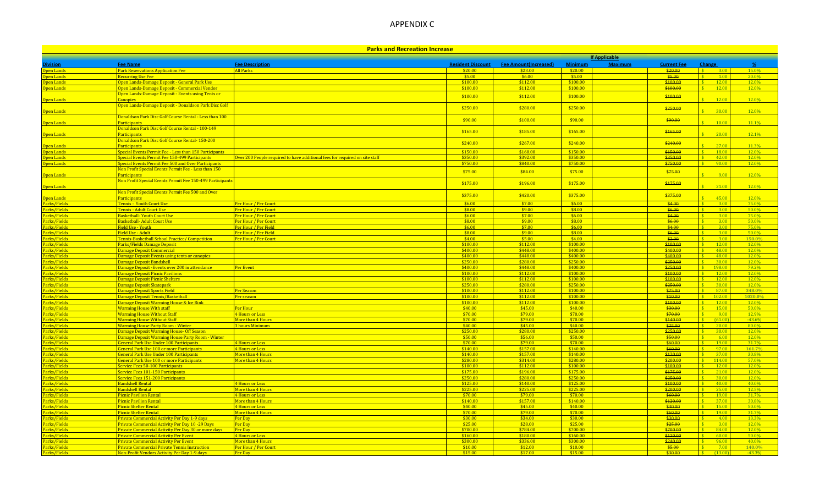# APPENDIX C

| <b>Parks and Recreation Increase</b> |                                                                                               |                                                                             |                          |                              |                      |                      |                      |                                                |                  |
|--------------------------------------|-----------------------------------------------------------------------------------------------|-----------------------------------------------------------------------------|--------------------------|------------------------------|----------------------|----------------------|----------------------|------------------------------------------------|------------------|
|                                      |                                                                                               |                                                                             |                          |                              |                      | <b>If Applicable</b> |                      |                                                |                  |
| ivision                              | <b>Fee Name</b>                                                                               | <b>Fee Description</b>                                                      | <b>Resident Discount</b> | <b>Fee Amount(Increased)</b> | <b>Minimum</b>       | <b>Maximum</b>       | <b>Current Fee</b>   | Change                                         | O                |
| Ipen Lands                           | <b>Park Reservations Application Fee</b>                                                      | All Parks                                                                   | \$20.00                  | \$23.00                      | \$20.00              |                      | \$20.00              | $\mathcal{S}$<br>3.00                          | 15.0%            |
| <mark>Jpen Lands</mark>              | <b>Recurring Use Fee</b>                                                                      |                                                                             | \$5.00                   | \$6.00                       | \$5.00               |                      | \$5.00               | 100                                            | 20.0%            |
| Open Lands                           | Open Lands-Damage Deposit - General Park Use<br>Open Lands-Damage Deposit - Commercial Vendor |                                                                             | \$100.00<br>\$100.00     | \$112.00<br>\$112.00         | \$100.00<br>\$100.00 |                      | \$100.00<br>\$100.00 | 12.00<br>12.00                                 | 12.0%<br>12.0%   |
| <mark>Jpen Lands</mark>              | Open Lands-Damage Deposit - Events using Tents or                                             |                                                                             |                          |                              |                      |                      |                      |                                                |                  |
| <mark>)pen Lands</mark>              | anopies                                                                                       |                                                                             | \$100.00                 | \$112.00                     | \$100.00             |                      | \$100.00             | 12.00                                          | 12.0%            |
|                                      | Open Lands-Damage Deposit - Donaldson Park Disc Golf                                          |                                                                             |                          |                              |                      |                      |                      |                                                |                  |
| Open Lands                           |                                                                                               |                                                                             | \$250.00                 | \$280.00                     | \$250.00             |                      | \$250.00             | 30.00                                          | 12.0%            |
|                                      | Donaldson Park Disc Golf Course Rental - Less than 100                                        |                                                                             | \$90.00                  | \$100.00                     | \$90.00              |                      | \$90.00              |                                                |                  |
| <mark>Open Lands</mark>              | articipants                                                                                   |                                                                             |                          |                              |                      |                      |                      | 10.00                                          | 11.1%            |
|                                      | Donaldson Park Disc Golf Course Rental - 100-149                                              |                                                                             | \$165.00                 | \$185.00                     | \$165.00             |                      | \$165.00             |                                                |                  |
| Open Lands                           | Participants                                                                                  |                                                                             |                          |                              |                      |                      |                      | 20.00                                          | 12.1%            |
| <mark>)pen Lands</mark>              | Donaldson Park Disc Golf Course Rental- 150-200<br>Participants                               |                                                                             | \$240.00                 | \$267.00                     | \$240.00             |                      | \$240.00             | 27.00                                          | 11.3%            |
| Open Lands                           | Special Events Permit Fee - Less than 150 Participants                                        |                                                                             | \$150.00                 | \$168.00                     | \$150.00             |                      | \$150.00             | 18.00                                          | 12.0%            |
| pen Lands                            | Special Events Permit Fee 150-499 Participants                                                | Over 200 People required to have additional fees for required on site staff | \$350.00                 | \$392.00                     | \$350.00             |                      | \$350.00             | 42.00                                          | 12.0%            |
| <mark>Jpen Lands</mark>              | pecial Events Permit Fee 500 and Over Participants                                            |                                                                             | \$750.00                 | \$840.00                     | \$750.00             |                      | \$750.00             | 90.00                                          | 12.0%            |
|                                      | Non Profit Special Events Permit Fee - Less than 150                                          |                                                                             | \$75.00                  | \$84.00                      | \$75.00              |                      | \$75.00              |                                                |                  |
| )pen Lands                           | Participants                                                                                  |                                                                             |                          |                              |                      |                      |                      | 9.00                                           | 12.0%            |
|                                      | Non Profit Special Events Permit Fee 150-499 Participan                                       |                                                                             | \$175.00                 | \$196.00                     | \$175.00             |                      | \$175.00             |                                                |                  |
| <b>Open Lands</b>                    |                                                                                               |                                                                             |                          |                              |                      |                      |                      | 21.00                                          | 12.0%            |
| <mark>Open Lands</mark>              | Non Profit Special Events Permit Fee 500 and Over<br>Particinants                             |                                                                             | \$375.00                 | \$420.00                     | \$375.00             |                      | \$375.00             | 45.00                                          | 12.0%            |
| Parks/Fields                         | <b>Tennis - Youth Court Use</b>                                                               | Per Hour / Per Court                                                        | \$6.00                   | \$7.00                       | \$6.00               |                      | \$4.00               | $-3.00$                                        | 75.0%            |
| Parks/Fields                         | Tennis - Adult Court Use                                                                      | Per Hour / Per Court                                                        | \$8.00                   | \$9.00                       | \$8.00               |                      | \$6.00               | 3.00                                           | 50.0%            |
| Parks/Fields                         | Basketball- Youth Court Use                                                                   | Per Hour / Per Court                                                        | \$6.00                   | \$7.00                       | \$6.00               |                      | \$4.00               | 3.00                                           | 75.0%            |
| Parks/Fields                         | Basketball- Adult Court Use                                                                   | Per Hour / Per Court                                                        | \$8.00                   | \$9.00                       | \$8.00               |                      | \$6.00               | 3.00                                           | 50.0%            |
| Parks/Fields                         | Field Use - Youth                                                                             | Per Hour / Per Field                                                        | \$6.00                   | \$7.00                       | \$6.00               |                      | \$4.00               | 3.00                                           | 75.0%            |
| Parks/Fields                         | Field Use - Adult                                                                             | Per Hour / Per Field                                                        | \$8.00                   | \$9.00                       | \$8.00               |                      | \$6.00               | 3.00<br>S                                      | $50.0\%$         |
| Parks/Fields                         | <b>Tennis-Basketball School Practice/ Competition</b>                                         | Per Hour / Per Court                                                        | \$4.00                   | \$5.00                       | \$4.00               |                      | \$2.00               | 3.00                                           | 150.0%           |
| Parks/Fields<br>Parks/Fields         | Parks/Fields Damage Deposit<br>Damage Deposit Commercial                                      |                                                                             | \$100.00<br>\$400.00     | \$112.00<br>\$448.00         | \$100.00<br>\$400.00 |                      | \$100.00<br>\$400.00 | 12.00<br>48.00                                 | 12.0%<br>12.0%   |
| Parks/Fields                         | <b>Damage Deposit Events using tents or canopies</b>                                          |                                                                             | \$400.00                 | \$448.00                     | \$400.00             |                      | \$400.00             | 48.00                                          | 12.0%            |
| Parks/Fields                         | Damage Deposit Bandshell                                                                      |                                                                             | \$250.00                 | \$280.00                     | \$250.00             |                      | \$250.00             | 30.00                                          | 12.0%            |
| Parks/Fields                         | Damage Deposit - Events over 200 in attendance                                                | Per Event                                                                   | \$400.00                 | \$448.00                     | \$400.00             |                      | \$250.00             | 198.00                                         | 79.2%            |
| Parks/Fields                         | Damage Deposit Picnic Pavilions                                                               |                                                                             | \$100.00                 | \$112.00                     | \$100.00             |                      | \$100.00             | 12.0                                           | 12.0%            |
| Parks/Fields                         | Damage Deposit Picnic Shelters                                                                |                                                                             | \$100.00                 | \$112.00                     | \$100.00             |                      | \$100.00             | 12.00                                          | 12.0%            |
| Parks/Fields                         | Damage Deposit Skatepark                                                                      |                                                                             | \$250.00                 | \$280.00                     | \$250.00             |                      | \$250.00             | 30.00<br>$\mathcal{S}$                         | 12.0%            |
| Parks/Fields                         | Damage Deposit Sports Field                                                                   | Per Season                                                                  | \$100.00                 | \$112.00                     | \$100.00             |                      | \$25.00              | 87.00<br>$\mathbf{\hat{S}}$                    | 348.0%           |
| Parks/Fields<br>Parks/Fields         | Damage Deposit Tennis/Basketball<br>Damage Deposit Warming House & Ice Rink                   | Per season                                                                  | \$100.00<br>\$100.00     | \$112.00<br>\$112.00         | \$100.00<br>\$100.00 |                      | \$10.00<br>\$100.00  | $$^{\circ}$<br>102.00<br>$\mathbf{C}$<br>12.00 | 1020.0%<br>12.0% |
| Parks/Fields                         | <b>Warming House With staff</b>                                                               | Per Hour                                                                    | \$40.00                  | \$45.00                      | \$40.00              |                      | \$30.00              | 1500                                           | 50.0%            |
| 'arks/Fields                         | Warming House Without Staff                                                                   | <b>4 Hours or Less</b>                                                      | \$70.00                  | \$79.00                      | \$70.00              |                      | \$70.00              | 900                                            | 12.9%            |
| 'arks/Fields                         | <mark>Narming House Without Staff</mark>                                                      | More than 4 Hours                                                           | \$70.00                  | \$79.00                      | \$70.00              |                      | \$140.00             | (61.00)                                        | $-43.6%$         |
| Parks/Fields                         | Warming House Party Room - Winter                                                             | 3 hours Minimum                                                             | \$40.00                  | \$45.00                      | \$40.00              |                      | \$25.00              | 20.0                                           | 80.0%            |
| <mark>?arks/Fields</mark>            | Damage Deposit Warming House- Off Season                                                      |                                                                             | \$250.00                 | \$280.00                     | \$250.00             |                      | \$250.00             | 30.00                                          | 12.0%            |
| Parks/Fields                         | Damage Deposit Warming House Party Room - Winter                                              |                                                                             | \$50.00                  | \$56.00                      | \$50.00              |                      | \$50.00              | 6.00                                           | 12.0%            |
| Parks/Fields                         | General Park Use Under 100 Participants                                                       | 4 Hours or Less                                                             | \$70.00                  | \$79.00                      | \$70.00              |                      | \$60.00              | 19.00                                          | 31.7%            |
| Parks/Fields<br>Parks/Fields         | General Park Use 100 or more Participants<br>General Park Use Under 100 Participants          | <b>4 Hours or Less</b><br>More than 4 Hours                                 | \$140.00<br>\$140.00     | \$157.00<br>\$157.00         | \$140.00<br>\$140.00 |                      | \$60.00<br>\$120.00  | 97.00<br>37.00                                 | 161.7%<br>30.8%  |
| Parks/Fields                         | General Park Use 100 or more Participants                                                     | More than 4 Hours                                                           | \$280.00                 | \$314.00                     | \$280.00             |                      | \$200.00             | 114.00                                         | 57.0%            |
| Parks/Fields                         | Service Fees 50-100 Participants                                                              |                                                                             | \$100.00                 | \$112.00                     | \$100.00             |                      | \$100.00             | 12.00                                          | 12.0%            |
| Parks/Fields                         | <u>Service Fees 101-150 Participants</u>                                                      |                                                                             | \$175.00                 | \$196.00                     | \$175.00             |                      | \$175.00             | 21.00                                          | 12.0%            |
| Parks/Fields                         | Service Fees 151-200 Participants                                                             |                                                                             | \$250.00                 | \$280.00                     | \$250.00             |                      | \$250.00             | 30.00                                          | 12.0%            |
| Parks/Fields                         | Bandshell Rental                                                                              | 4 Hours or Less                                                             | \$125.00                 | \$140.00                     | \$125.00             |                      | \$100.00             | 40.00<br>$\mathcal{S}$                         | 40.0%            |
| Parks/Fields                         | Bandshell Rental                                                                              | More than 4 Hours                                                           | \$225.00                 | \$225.00                     | \$225.00             |                      | \$200.00             | 25.00<br>$\mathbf{S}$                          | 12.5%            |
| Parks/Fields                         | <b>Picnic Pavilion Rental</b>                                                                 | 4 Hours or Less                                                             | \$70.00                  | \$79.00                      | \$70.00              |                      | \$60.00              | 19.00                                          | 31.7%            |
| Parks/Fields<br>Parks/Fields         | <b>Picnic Pavilion Rental</b><br>Picnic Shelter Rental                                        | More than 4 Hours                                                           | \$140.00<br>\$40.00      | \$157.00<br>\$45.00          | \$140.00<br>\$40.00  |                      | \$120.00<br>\$30.00  | $-3700$<br>15.00                               | 30.8%<br>50.0%   |
| Parks/Fields                         | <b>Picnic Shelter Rental</b>                                                                  | 4 Hours or Less<br>More than 4 Hours                                        | \$70.00                  | \$79.00                      | \$70.00              |                      | \$60.00              | 1900                                           | 31.7%            |
| Parks/Fields                         | Private Commercial Activity Per Day 1-9 days                                                  | Per Day                                                                     | \$30.00                  | \$34.00                      | \$30.00              |                      | \$30.00              | 4.00                                           | 13.3%            |
| Parks/Fields                         | ivate Commercial Activity Per Day 10 -29 Days                                                 | Per Day                                                                     | \$25.00                  | \$28.00                      | \$25.00              |                      | \$25.00              | 3.00                                           | 12.0%            |
| Parks/Fields                         | rivate Commercial Activity Per Day 30 or more days                                            | Per Day                                                                     | \$700.00                 | \$784.00                     | \$700.00             |                      | \$700.00             | 84.00                                          | 12.0%            |
| Parks/Fields                         | <b>Private Commercial Activity Per Event</b>                                                  | 4 Hours or Less                                                             | \$160.00                 | \$180.00                     | \$160.00             |                      | \$120.00             | 60.00                                          | 50.0%            |
| Parks/Fields                         | Private Commercial Activity Per Event                                                         | More than 4 Hours                                                           | \$300.00                 | \$336.00                     | \$300.00             |                      | \$240.00             | 96.00                                          | 40.0%            |
| Parks/Fields                         | <b>Private Commercial Private Tennis Instruction</b>                                          | Per Hour / Per Court                                                        | \$10.00                  | \$12.00                      | \$10.00              |                      | \$5.00               | 7.00                                           | 140.0%           |
| Parks/Fields                         | Non-Profit Vendors Activity Per Day 1-9 days                                                  | Per Day                                                                     | \$15.00                  | \$17.00                      | \$15.00              |                      | \$30.00              | f1300                                          | $-43.3%$         |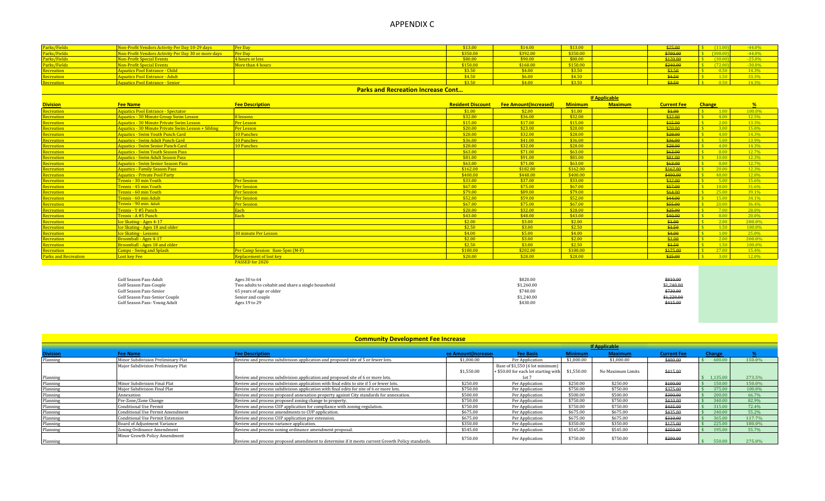### APPENDIX C

| Parks/Fields                              | Non-Profit Vendors Activity Per Day 10-29 days    |                                              |                                   | \$14.00  | \$13.00 |  | \$25.00            | $-44.0%$ |
|-------------------------------------------|---------------------------------------------------|----------------------------------------------|-----------------------------------|----------|---------|--|--------------------|----------|
| Parks/Fields                              | n-Profit Vendors Activity Per Day 30 or more days | Per Day                                      | \$350.00                          | \$392.00 | 0.0000  |  | <del>, uu.uu</del> | $-44.0%$ |
| Parks/Fields                              | <b>Non-Profit Special Events</b>                  | <b>Chaure or the</b><br><u>Friours of Te</u> | \$80.00                           | \$90.00  | \$8000  |  |                    | $-25.0%$ |
|                                           | <mark>Von-Profit Special Events</mark>            | ore than 4 hour:                             | \$150.00                          | \$168.00 | 61500   |  |                    | $-30.0%$ |
| Recreation                                | Aquatics Pool Entrance - Child                    |                                              | 62.50                             | \$4.00   | \$3.50  |  |                    | 14.3%    |
| <b>Recreation</b>                         | Aquatics Pool Entrance - Adult                    |                                              | \$4.50                            | \$6.00   | \$4.50  |  | \$4.50             | 33.3%    |
|                                           | quatics Pool Entrance - Senior                    |                                              | $\bullet \bullet \bullet \bullet$ | 64.00    | \$350   |  |                    | 14.3%    |
| <b>Parks and Recreation Increase Cont</b> |                                                   |                                              |                                   |          |         |  |                    |          |

|                             |                                                    |                                | <b>If Applicable</b>     |                              |                |                |                    |                     |                                  |        |  |
|-----------------------------|----------------------------------------------------|--------------------------------|--------------------------|------------------------------|----------------|----------------|--------------------|---------------------|----------------------------------|--------|--|
| <b>Division</b>             | <b>Fee Name</b>                                    | <b>Fee Description</b>         | <b>Resident Discount</b> | <b>Fee Amount(Increased)</b> | <b>Minimum</b> | <b>Maximum</b> | <b>Current Fee</b> | <b>Change</b>       |                                  |        |  |
| <b>Recreation</b>           | Aquatics Pool Entrance - Spectator                 |                                | \$1.00                   | \$2.00                       | \$1.00         |                | \$1.00             |                     | $\frac{\text{S}}{\text{S}}$ 1.00 | 100.0% |  |
| <b>Recreation</b>           | Aquatics - 30 Minute Group Swim Lesson             | <b>Hessons</b>                 | \$32.00                  | \$36.00                      | \$32.00        |                | \$32.00            |                     | 4.00                             | 12.5%  |  |
| Recreation                  | Aquatics - 30 Minute Private Swim Lesson           | Per Lesson                     | \$15.00                  | \$17.00                      | \$15.00        |                | \$15.00            |                     | $-2.00$                          | 13.3%  |  |
| Recreation                  | Aquatics - 30 Minute Private Swim Lesson + Sibling | Per Lesson                     | \$20.00                  | \$23.00                      | \$20.00        |                | \$20.00            |                     | 3.00                             | 15.0%  |  |
| Recreation                  | Aquatics - Swim Youth Punch Card                   | <b>10 Punches</b>              | \$28.00                  | \$32.00                      | \$28.00        |                | \$28.00            | $\mathbf{r}$        | 4.00                             | 14.3%  |  |
| Recreation                  | Aquatics - Swim Adult Punch Card                   | <b>10 Punches</b>              | \$36.00                  | \$41.00                      | \$36.00        |                | \$36.00            | $\mathbf{\hat{x}}$  | 5.00                             | 13.9%  |  |
| Recreation                  | Aquatics - Swim Senior Punch Card                  | <b>10 Punches</b>              | \$28.00                  | \$32.00                      | \$28.00        |                | \$28.00            | $\ddot{\bm{\zeta}}$ | 4.00                             | 14.3%  |  |
| Recreation                  | <b>Aquatics - Swim Youth Season Pass</b>           |                                | \$63.00                  | \$71.00                      | \$63.00        |                | \$63.00            | $\mathbf{\hat{S}}$  | 8.00                             | 12.7%  |  |
| Recreation                  | Aquatics - Swim Adult Season Pass                  |                                | \$81.00                  | \$91.00                      | \$81.00        |                | \$81.00            | $\mathbf{d}$        | 10.00                            | 12.3%  |  |
| <b>Recreation</b>           | <b>Aquatics - Swim Senior Season Pass</b>          |                                | \$63.00                  | \$71.00                      | \$63.00        |                | \$63.00            | $\mathbf{C}$        | 8.00                             | 12.7%  |  |
| Recreation                  | Aquatics - Family Season Pass                      |                                | \$162.00                 | \$182.00                     | \$162.00       |                | \$162.00           |                     | 20.00                            | 12.3%  |  |
| Recreation                  | <b>Aquatics - Private Pool Party</b>               |                                | \$400.00                 | \$448.00                     | \$400.00       |                | \$400.00           |                     | 48.00                            | 12.0%  |  |
| Recreation                  | <u> Fennis - 30 min Youth </u>                     | Per Session                    | \$33.00                  | \$37.00                      | \$33.00        |                | \$32.00            |                     | $-5.00$                          | 15.6%  |  |
| Recreation                  | Tennis - 45 min Youth                              | <b>Per Session</b>             | \$67.00                  | \$75.00                      | \$67.00        |                | \$57.00            | $\mathbf{\hat{x}}$  | 18.00                            | 31.6%  |  |
| Recreation                  | <u> Fennis - 60 min Youth</u>                      | <b>Per Session</b>             | \$79.00                  | \$89.00                      | \$79.00        |                | \$64.00            |                     | 25.00                            | 39.1%  |  |
| Recreation                  | Tennis - 60 min Adult                              | <b>Per Session</b>             | \$52.00                  | \$59.00                      | \$52.00        |                | \$44.00            | $\mathcal{L}$       | 15.00                            | 34.1%  |  |
| Recreation                  | Tennis - 90 min Adult                              | <b>Per Session</b>             | \$67.00                  | \$75.00                      | \$67.00        |                | \$55.00            |                     | 20.00                            | 36.4%  |  |
| Recreation                  | Tennis - Y #5 Punch                                | ach                            | \$28.00                  | \$32.00                      | \$28.00        |                | \$25.00            |                     | 7.00                             | 28.0%  |  |
| Recreation                  | Fennis - A #5 Punch                                | lach.                          | \$43.00                  | \$48.00                      | \$43.00        |                | \$40.00            | $\sqrt{2}$          | 8.00                             | 20.0%  |  |
| Recreation                  | ce Skating - Ages 4-17                             |                                | \$2.00                   | \$3.00                       | \$2.00         |                | \$1.00             |                     | 2.00                             | 200.0% |  |
| Recreation                  | Ice Skating - Ages 18 and older                    |                                | \$2.50                   | \$3.00                       | \$2.50         |                | \$1.50             |                     | $-1.50$                          | 100.0% |  |
| Recreation                  | Ice Skating - Lessons                              | 30 minute Per Lesson           | \$4.00                   | \$5.00                       | \$4.00         |                | \$4.00             |                     | 1.00                             | 25.0%  |  |
| Recreation                  | Broomball - Ages 4-17                              |                                | \$2.00                   | \$3.00                       | \$2.00         |                | \$1.00             | $\sqrt{s}$          | 2.00                             | 200.0% |  |
| <b>Recreation</b>           | Broomball - Ages 18 and older                      |                                | \$2.50                   | \$3.00                       | \$2.50         |                | \$1.50             | $\mathcal{S}$       | $-1.50$                          | 100.0% |  |
| Recreation                  | <b>Camps - Swing and Splash</b>                    | Per Camp Session 8am-5pm (M-F) | \$180.00                 | \$202.00                     | \$180.00       |                | \$175.00           |                     | 27.00                            | 15.4%  |  |
| <b>Parks and Recreation</b> | <b>Lost key Fee</b>                                | Replacement of lost key        | \$28.00                  | \$28.00                      | \$28.00        |                | \$25.00            | $\sqrt{S}$          | $-3.00$                          | 12.0%  |  |
|                             |                                                    | PASSED for 2020                |                          |                              |                |                |                    |                     |                                  |        |  |
|                             |                                                    |                                |                          |                              |                |                |                    |                     |                                  |        |  |

| Golf Season Pass-Adult         | Ages 30 to 64                                      | \$820.00   | \$810.00   |
|--------------------------------|----------------------------------------------------|------------|------------|
| Golf Season Pass-Couple        | Two adults to cohabit and share a single household | \$1,260.00 | \$1,240.00 |
| Golf Season Pass-Senior        | 65 years of age or older                           | \$740.00   | \$730.00   |
| Golf Season Pass-Senior Couple | Senior and couple                                  | \$1,240.00 | \$1,220.00 |
| Golf Season Pass-Young Adult   | Ages 19 to 29                                      | \$430.00   | \$415.00   |

### **Community Development Fee Increase**

|                 |                                         |                                                                                                 |                     |                                      |                | <b>If Applicable</b> |                    |            |        |
|-----------------|-----------------------------------------|-------------------------------------------------------------------------------------------------|---------------------|--------------------------------------|----------------|----------------------|--------------------|------------|--------|
| <b>Division</b> | Fee Name                                | <b>Fee Description</b>                                                                          | ee Amount(Increaser | <b>Fee Basis</b>                     | <b>Minimum</b> | <b>Maximum</b>       | <b>Current Fee</b> | Change     |        |
| Planning        | Minor Subdivision Preliminary Plat      | Review and process subdivision application and proposed site of 5 or fewer lots.                | \$1,000.00          | Per Application                      | \$1,000.00     | \$1,000.00           | \$400.00           | 600.00     | 150.0% |
|                 | Major Subdivision Preliminary Plat      |                                                                                                 |                     | Base of \$1,550 (6 lot minimum)      |                |                      |                    |            |        |
|                 |                                         |                                                                                                 | \$1,550.00          | + \$50.00 for each lot starting with | \$1.550.00     | No Maximum Limits    | \$415.00           |            |        |
| Planning        |                                         | Review and process subdivision application and proposed site of 6 or more lots.                 |                     | Int 7                                |                |                      |                    | \$1.135.00 | 273.5% |
| Planning        | Minor Subdivision Final Plat            | Review and process subdivision application with final edits to site if 5 or fewer lots.         | \$250.00            | Per Application                      | \$250.00       | \$250.00             | \$100.00           | 150.00     | 150.0% |
| Planning        | Major Subdivision Final Plat            | Review and process subdivision application with final edits for site of 6 or more lots.         | \$750.00            | Per Application                      | \$750.00       | \$750.00             | \$375.00           | 375.00     | 100.0% |
| Planning        | Annexation                              | Review and process proposed annexation property against City standards for annexation.          | \$500.00            | Per Application                      | \$500.00       | \$500.00             | \$300.00           | 200.00     | 66.7%  |
| Planning        | Pre-Zone/Zone Change                    | Review and process proposed zoning change to property.                                          | \$750.00            | Per Application                      | \$750.00       | \$750.00             | \$410.00           | 340.00     | 82.9%  |
| Planning        | <b>Conditional Use Permit</b>           | Review and process CUP application for compliance with zoning regulation.                       | \$750.00            | Per Application                      | \$750.00       | \$750.00             | \$435.00           | 315.00     | 72.4%  |
| Planning        | <b>Conditional Use Permit Amendment</b> | Review and process amendments to CUP application.                                               | \$675.00            | Per Application                      | \$675.00       | \$675.00             | \$435.00           | 240.00     | 55.2%  |
| Planning        | Conditional Use Permit Extension        | Review and process CUP application per extension.                                               | \$675.00            | Per Application                      | \$675.00       | \$675.00             | \$310.00           | 365.00     | 117.7% |
| Planning        | Board of Adjustment Variance            | Review and process variance application.                                                        | \$350.00            | Per Application                      | \$350.00       | \$350.00             | \$125.00           | 225.00     | 180.0% |
| Planning        | Zoning Ordinance Amendment              | Review and process zoning ordinance amendment proposal.                                         | \$545.00            | Per Application                      | \$545.00       | \$545.00             | \$350.00           | 195.00     | 55.7%  |
| Planning        | Minor Growth Policy Amendment           | Review and process proposed amendment to determine if it meets current Growth Policy standards. | \$750.00            | Per Application                      | \$750.00       | \$750.00             | \$200.00           | 550.00     | 275.0% |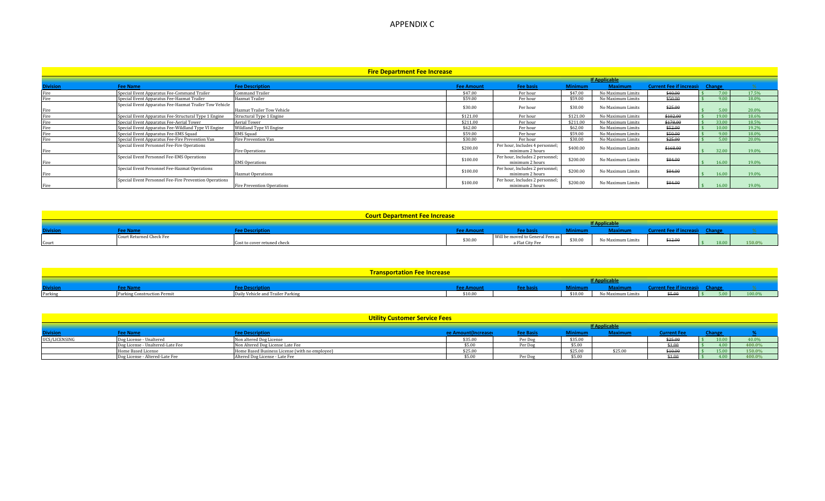## APPENDIX C

| <b>Fire Department Fee Increase</b> |                                                        |                                   |                   |                                                    |                |                   |                                        |       |       |
|-------------------------------------|--------------------------------------------------------|-----------------------------------|-------------------|----------------------------------------------------|----------------|-------------------|----------------------------------------|-------|-------|
| <b>If Applicable</b>                |                                                        |                                   |                   |                                                    |                |                   |                                        |       |       |
| <b>Division</b>                     | <b>Fee Name</b>                                        | <b>Fee Description</b>            | <b>Fee Amount</b> | <b>Fee basis</b>                                   | <b>Minimum</b> | <b>Maximum</b>    | <b>Current Fee if increasil Change</b> |       |       |
|                                     | Special Event Apparatus Fee-Command Trailer            | Command Trailer                   | \$47.00           | Per hour                                           | \$47.00        | No Maximum Limits | \$40.00                                | 7.00  | 17.5% |
|                                     | Special Event Apparatus Fee-Hazmat Trailer             | Hazmat Trailer                    | \$59.00           | Per hour                                           | \$59.00        | No Maximum Limits | \$50.00                                | 9.00  | 18.0% |
| Fire                                | Special Event Apparatus Fee-Hazmat Trailer Tow Vehicle | <b>Hazmat Trailer Tow Vehicle</b> | \$30.00           | Per hour                                           | \$30.00        | No Maximum Limits | \$25.00                                | 5.00  | 20.0% |
|                                     | Special Event Apparatus Fee-Structural Type 1 Engine   | Structural Type 1 Engine          | \$121.00          | Per hour                                           | \$121.00       | No Maximum Limits | \$102.00                               | 19.00 | 18.6% |
|                                     | Special Event Apparatus Fee-Aerial Tower               | Aerial Tower                      | \$211.00          | Per hour                                           | \$211.00       | No Maximum Limits | \$178.00                               | 33.00 | 18.5% |
|                                     | Special Event Apparatus Fee-Wildland Type VI Engine    | Wildland Type VI Engine           | \$62.00           | Per hour                                           | \$62.00        | No Maximum Limits | \$52.00                                | 10.00 | 19.2% |
| Fire                                | Special Event Apparatus Fee-EMS Squad                  | <b>EMS</b> Squad                  | \$59.00           | Per hour                                           | \$59.00        | No Maximum Limits | \$50.00                                | 9.00  | 18.0% |
|                                     | Special Event Apparatus Fee-Fire Prevention Van        | Fire Prevention Van               | \$30.00           | Per hour                                           | \$30.00        | No Maximum Limits | \$25.00                                | 5.00  | 20.0% |
| Fire                                | Special Event Personnel Fee-Fire Operations            | Fire Operations                   | \$200.00          | Per hour, Includes 4 personnel;<br>minimum 2 hours | \$400.00       | No Maximum Limits | \$168.00                               | 32.00 | 19.0% |
| Fire                                | Special Event Personnel Fee-EMS Operations             | <b>EMS Operations</b>             | \$100.00          | Per hour, Includes 2 personnel;<br>minimum 2 hours | \$200.00       | No Maximum Limits | \$84.00                                | 16.00 | 19.0% |
|                                     | Special Event Personnel Fee-Hazmat Operations          | <b>Hazmat Operations</b>          | \$100.00          | Per hour, Includes 2 personnel;<br>minimum 2 hours | \$200.00       | No Maximum Limits | \$84.00                                | 16.00 | 19.0% |
| Fire                                | Special Event Personnel Fee-Fire Prevention Operations | Fire Prevention Operations        | \$100.00          | Per hour, Includes 2 personnel;<br>minimum 2 hours | \$200.00       | No Maximum Limits | \$84.00                                | 16.00 | 19.0% |

| <b>Court Department Fee Increase</b> |                          |                             |               |                                                                     |         |                   |         |        |
|--------------------------------------|--------------------------|-----------------------------|---------------|---------------------------------------------------------------------|---------|-------------------|---------|--------|
| <b>If Applicable</b>                 |                          |                             |               |                                                                     |         |                   |         |        |
| <b>Division</b>                      |                          | ree Descriptir              | <b>Amount</b> |                                                                     |         |                   |         |        |
| Cour                                 | Court Returned Check Fee | Cost to cover retuned check | \$30.00       | $\sim$ $-$<br>Will be moved to General Fees as L<br>a Flat City Fee | \$30.00 | No Maximum Limits | \$12.00 | 150.0% |

|                 |                             | <b>Transportation Fee Increase</b> |                |           |         |                   |      |        |
|-----------------|-----------------------------|------------------------------------|----------------|-----------|---------|-------------------|------|--------|
|                 |                             |                                    |                |           |         | f Applicable      |      |        |
| <b>Division</b> |                             | <u>ee Description</u>              | <b>SECTION</b> | ree nasis |         |                   |      |        |
| Parking         | Parking Construction Permit | Daily Vehicle and Trailer Parking  | \$10.00        |           | \$10.00 | No Maximum Limits | ATAC | 100.0% |

| Utility Customer Service Fees |                                  |                                                |         |           |         |         |            |  |        |
|-------------------------------|----------------------------------|------------------------------------------------|---------|-----------|---------|---------|------------|--|--------|
|                               | <b>If Applicable</b>             |                                                |         |           |         |         |            |  |        |
| <b>Division</b>               |                                  | ee Descriptio                                  |         | 'ee pası: | Minimun |         | irrent Fee |  |        |
| UCS/LICENSING                 | Dog License - Unaltereg          | Non altered Dog License                        | \$35.00 | rer do    | \$35.00 |         | 323.UU     |  | 40.0%  |
|                               | Dog License - Unaltered-Late Fee | Non Altered Dog License Late Fee               | \$5.00  | Per Dos   | \$5.00  |         | \$1.00     |  | 400.0% |
|                               | Home Based License               | Home Based Business License (with no employee) | \$25.00 |           | \$25.00 | \$25.00 | \$10.00    |  | 150.0% |
|                               | Dog License - Altered-Late Fee   | Altered Dog License - Late Fee                 | \$5.00  | Per Dos   | \$5.00  |         | \$1.00     |  | 400.0% |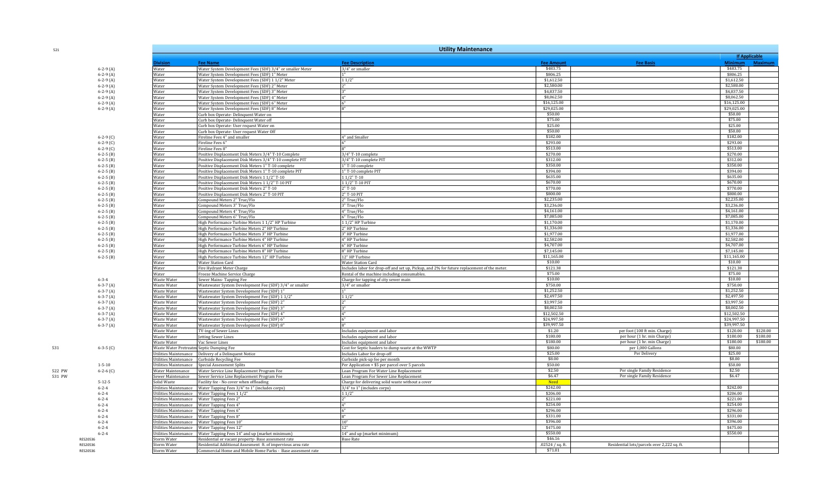| 521    |                               |                                          | <b>Utility Maintenance</b>                                                                                          |                                                                                             |                          |                                             |                           |          |  |  |  |  |
|--------|-------------------------------|------------------------------------------|---------------------------------------------------------------------------------------------------------------------|---------------------------------------------------------------------------------------------|--------------------------|---------------------------------------------|---------------------------|----------|--|--|--|--|
|        |                               |                                          |                                                                                                                     |                                                                                             |                          |                                             | <b>If Applicable</b>      |          |  |  |  |  |
|        |                               | ivision                                  | <b>Fee Name</b>                                                                                                     | <b>Fee Description</b>                                                                      | <b>Fee Amount</b>        | <b>Fee Basis</b>                            | Minimum Maximum           |          |  |  |  |  |
|        | $6-2-9(A)$                    | Water                                    | Water System Development Fees (SDF) 3/4" or smaller Meter                                                           | 3/4" or smaller                                                                             | \$483.75                 |                                             | \$483.75                  |          |  |  |  |  |
|        | $6-2-9(A)$                    | Water                                    | Water System Development Fees (SDF) 1" Meter                                                                        |                                                                                             | \$806.25                 |                                             | \$806.25                  |          |  |  |  |  |
|        | $6-2-9(A)$                    | Water                                    | Water System Development Fees (SDF) 1 1/2" Meter                                                                    | 11/2"                                                                                       | \$1,612.50               |                                             | \$1,612.50                |          |  |  |  |  |
|        | $6-2-9(A)$                    | Water                                    | Water System Development Fees (SDF) 2" Meter                                                                        |                                                                                             | \$2,580.00<br>\$4,837.50 |                                             | \$2,580.00                |          |  |  |  |  |
|        | $6-2-9(A)$                    | Water                                    | Water System Development Fees (SDF) 3" Meter                                                                        |                                                                                             | \$8,062.50               |                                             | \$4,837.50                |          |  |  |  |  |
|        | $6-2-9(A)$                    | Water<br>Water                           | Water System Development Fees (SDF) 4" Meter<br>Water System Development Fees (SDF) 6" Meter                        |                                                                                             | \$16,125.00              |                                             | \$8,062.50<br>\$16,125.00 |          |  |  |  |  |
|        | $6-2-9(A)$<br>$6-2-9(A)$      | Water                                    | Water System Development Fees (SDF) 8" Meter                                                                        |                                                                                             | \$29,025.00              |                                             | \$29,025,00               |          |  |  |  |  |
|        |                               | Water                                    | Curb box Operate- Delinquent Water on                                                                               |                                                                                             | \$50.00                  |                                             | \$50.00                   |          |  |  |  |  |
|        |                               | Water                                    | Curb box Operate- Delinquent Water off                                                                              |                                                                                             | \$75.00                  |                                             | \$75.00                   |          |  |  |  |  |
|        |                               | Water                                    | Curb box Operate- User request Water on                                                                             |                                                                                             | \$25.00                  |                                             | \$25.00                   |          |  |  |  |  |
|        |                               | Water                                    | Curb box Operate- User request Water Off                                                                            |                                                                                             | \$50.00                  |                                             | \$50.00                   |          |  |  |  |  |
|        | $6-2-9$ (C)                   | Water                                    | Fireline Fees 4" and smaller                                                                                        | 4" and Smaller                                                                              | \$182.00                 |                                             | \$182.00                  |          |  |  |  |  |
|        | $6-2-9(C)$                    | Water                                    | Fireline Fees 6"                                                                                                    |                                                                                             | \$293.00                 |                                             | \$293.00                  |          |  |  |  |  |
|        | $6 - 2 - 9$ (C)               | Water                                    | Fireline Fees 8"                                                                                                    |                                                                                             | \$513.00                 |                                             | \$513.00                  |          |  |  |  |  |
|        | $6-2-5$ (B)                   | Water                                    | 'ositive Displacement Disk Meters 3/4" T-10 Complete                                                                | 3/4" T-10 complete                                                                          | \$270.00                 |                                             | \$270.00                  |          |  |  |  |  |
|        | $6-2-5$ (B)                   | Water                                    | ositive Displacement Disk Meters 3/4" T-10 complete PIT                                                             | 3/4" T-10 complete PIT                                                                      | \$312.00                 |                                             | \$312.00                  |          |  |  |  |  |
|        | $6-2-5$ (B)                   | Nater                                    | ositive Displacement Disk Meters 1" T-10 complete                                                                   | 1" T-10 complete                                                                            | \$350.00                 |                                             | \$350.00                  |          |  |  |  |  |
|        | $6-2-5(B)$                    | Water                                    | 'ositive Displacement Disk Meters 1" T-10 complete PIT                                                              | 1" T-10 complete PIT                                                                        | \$394.00                 |                                             | \$394.00                  |          |  |  |  |  |
|        | $6 - 2 - 5$ (B)               | Water                                    | Positive Displacement Disk Meters 1 1/2" T-10                                                                       | $11/2$ "T-10                                                                                | \$635.00                 |                                             | \$635.00                  |          |  |  |  |  |
|        | $6 - 2 - 5$ (B)               | Water                                    | Positive Displacement Disk Meters 1 1/2" T-10 PIT                                                                   | 11/2" T-10 PIT                                                                              | \$670.00                 |                                             | \$670.00                  |          |  |  |  |  |
|        | $6-2-5$ (B)                   | Water                                    | Positive Displacement Disk Meters 2" T-10                                                                           | $2"T-10$                                                                                    | \$770.00                 |                                             | \$770.00                  |          |  |  |  |  |
|        | $6-2-5$ (B)                   | Water                                    | Positive Displacement Disk Meters 2" T-10 PIT                                                                       | 2" T-10 PIT                                                                                 | \$800.00                 |                                             | \$800.00                  |          |  |  |  |  |
|        | $6-2-5(B)$                    | Water                                    | Compound Meters 2" True/Flo<br>Compound Meters 3" True/Flo                                                          | 2" True/Flo<br>3" True/Flo                                                                  | \$2,235.00<br>\$3,236.00 |                                             | \$2,235.00<br>\$3,236.00  |          |  |  |  |  |
|        | $6-2-5(B)$                    | Water<br>Water                           | Compound Meters 4" True/Flo                                                                                         | 4" True/Flo                                                                                 | \$4,161.00               |                                             | \$4,161.00                |          |  |  |  |  |
|        | $6-2-5(B)$<br>$6-2-5(B)$      | Water                                    | Compound Meters 6" True/Flo                                                                                         | 6" True/Flo                                                                                 | \$7,085.00               |                                             | \$7,085.00                |          |  |  |  |  |
|        | $6-2-5$ (B)                   | Water                                    | High Performance Turbine Meters 1 1/2" HP Turbine                                                                   | 11/2" HP Turbine                                                                            | \$1,170.00               |                                             | \$1,170.00                |          |  |  |  |  |
|        | $6-2-5$ (B)                   | Water                                    | High Performance Turbine Meters 2" HP Turbine                                                                       | 2" HP Turbine                                                                               | \$1,336.00               |                                             | \$1,336.00                |          |  |  |  |  |
|        | $6-2-5(B)$                    | Water                                    | High Performance Turbine Meters 3" HP Turbine                                                                       | 3" HP Turbine                                                                               | \$1,977.00               |                                             | \$1,977.00                |          |  |  |  |  |
|        | $6-2-5$ (B)                   | Water                                    | High Performance Turbine Meters 4" HP Turbine                                                                       | 4" HP Turbine                                                                               | \$2,582.00               |                                             | \$2,582.00                |          |  |  |  |  |
|        | $6-2-5(B)$                    | Water                                    | High Performance Turbine Meters 6" HP Turbine                                                                       | 6" HP Turbine                                                                               | \$4,707.00               |                                             | \$4,707.00                |          |  |  |  |  |
|        | $6-2-5$ (B)                   | Water                                    | High Performance Turbine Meters 8" HP Turbine                                                                       | 8" HP Turbine                                                                               | \$7,145.00               |                                             | \$7,145.00                |          |  |  |  |  |
|        | $6-2-5$ (B)                   | Water                                    | High Performance Turbine Meters 12" HP Turbine                                                                      | 12" HP Turbine                                                                              | \$11,165.00              |                                             | \$11,165.00               |          |  |  |  |  |
|        |                               | Water                                    | <b>Water Station Card</b>                                                                                           | <b>Water Station Card</b>                                                                   | \$10.00                  |                                             | \$10.00                   |          |  |  |  |  |
|        |                               | Water                                    | Fire Hydrant Meter Charge                                                                                           | Includes labor for drop-off and set up, Pickup, and 2% for future replacement of the meter. | \$121.38                 |                                             | \$121.38                  |          |  |  |  |  |
|        |                               | Water                                    | 'reeze Machine Service Charge                                                                                       | Rental of the machine including consumables.                                                | \$75.00                  |                                             | \$75.00                   |          |  |  |  |  |
|        | $6 - 3 - 4$                   | Waste Water                              | Sewer Mains-Tapping Fee                                                                                             | Charge for tapping of city sewer main                                                       | \$10.00                  |                                             | \$10.00                   |          |  |  |  |  |
|        | $6 - 3 - 7$ (A)               | Waste Water                              | Vastewater System Development Fee (SDF) 3/4" or smaller                                                             | 3/4" or smaller                                                                             | \$750.00                 |                                             | \$750.00                  |          |  |  |  |  |
|        | $6 - 3 - 7$ (A)               | Vaste Water                              | Vastewater System Development Fee (SDF) 1"                                                                          |                                                                                             | \$1,252.50               |                                             | \$1.252.50                |          |  |  |  |  |
|        | $6-3-7(A)$                    | <b>Naste Water</b>                       | Wastewater System Development Fee (SDF) 1 1/2"                                                                      | 11/2"                                                                                       | \$2,497.50               |                                             | \$2,497.50                |          |  |  |  |  |
|        | $6-3-7(A)$                    | Waste Water                              | Wastewater System Development Fee (SDF) 2"                                                                          |                                                                                             | \$3,997.50<br>\$8,002.50 |                                             | \$3,997.50<br>\$8,002.50  |          |  |  |  |  |
|        | $6-3-7(A)$                    | Waste Water                              | Wastewater System Development Fee (SDF) 3'                                                                          |                                                                                             | \$12,502.50              |                                             | \$12,502.50               |          |  |  |  |  |
|        | $6-3-7(A)$                    | Waste Water<br>Waste Water               | Wastewater System Development Fee (SDF) 4"<br>Wastewater System Development Fee (SDF) 6"                            | 4"                                                                                          | \$24,997.50              |                                             | \$24,997.50               |          |  |  |  |  |
|        | $6-3-7(A)$<br>$6 - 3 - 7$ (A) | <b>Naste Water</b>                       | Vastewater System Development Fee (SDF) 8"                                                                          |                                                                                             | \$39,997.50              |                                             | \$39,997.50               |          |  |  |  |  |
|        |                               | Waste Water                              | IV-ing of Sewer Lines                                                                                               | ncludes equipment and labor                                                                 | \$1.20                   | per foot (100 ft min. Charge)               | \$120.00                  | \$120.00 |  |  |  |  |
|        |                               | <b>Naste Water</b>                       | etting Sewer Lines                                                                                                  | ncludes equipment and labor                                                                 | \$180.00                 | per hour (1 hr. min Charge)                 | \$180.00                  | \$180.00 |  |  |  |  |
|        |                               | <b>Naste Water</b>                       | Vac Sewer Lines                                                                                                     | Includes equipment and labor                                                                | \$180.00                 | per hour (1 hr. min Charge)                 | \$180.00                  | \$180.00 |  |  |  |  |
| 531    | $6-3-5$ (C)                   | Waste Water Pretreatm Septic Dumping Fee |                                                                                                                     | Cost for Septic haulers to dump waste at the WWTP                                           | \$80.00                  | per 1,000 Gallons                           | \$80.00                   |          |  |  |  |  |
|        |                               | tilities Maintenance                     | elivery of a Delinquent Notice                                                                                      | ncludes Labor for drop-off                                                                  | \$25.00                  | Per Delivery                                | \$25.00                   |          |  |  |  |  |
|        |                               | tilities Maintenance                     | urbside Recycling Fee                                                                                               | Curbside pick-up fee per month                                                              | \$8.00                   |                                             | \$8.00                    |          |  |  |  |  |
|        | $1 - 5 - 10$                  | Jtilities Maintenance                    | Special Assessment Splits                                                                                           | Per Application + \$5 per parcel over 5 parcels                                             | \$50.00                  |                                             | \$50.00                   |          |  |  |  |  |
| 522 PW | $6-2-6$ (C)                   | <b>Nater Maintenance</b>                 | Water Service Line Replacement Program Fee                                                                          | Loan Program For Water Line Replacement                                                     | \$2.50                   | Per single Family Residence                 | \$2.50                    |          |  |  |  |  |
| 531 PW |                               | Sewer Maintenance                        | Sewer Service Line Replacement Program Fee                                                                          | Loan Program For Sewer Line Replacement                                                     | \$6.47                   | Per single Family Residence                 | \$6.47                    |          |  |  |  |  |
|        | $5 - 12 - 5$                  | Solid Waste                              | Facility fee - No cover when offloading                                                                             | Charge for delivering solid waste without a cover                                           | <b>Need</b>              |                                             |                           |          |  |  |  |  |
|        | $6 - 2 - 4$                   | Jtilities Maintenance                    | Water Tapping Fees 3/4" to 1" (includes corps)                                                                      | 3/4" to 1" (includes corps)                                                                 | \$242.00                 |                                             | \$242.00                  |          |  |  |  |  |
|        | $6 - 2 - 4$                   | Itilities Maintenance                    | Water Tapping Fees 1 1/2"                                                                                           | 11/2"                                                                                       | \$206.00                 |                                             | \$206.00                  |          |  |  |  |  |
|        | $6 - 2 - 4$                   | Itilities Maintenance                    | Water Tapping Fees 2"                                                                                               |                                                                                             | \$221.00                 |                                             | \$221.00                  |          |  |  |  |  |
|        | $6 - 2 - 4$                   | Jtilities Maintenance                    | Water Tapping Fees 4"                                                                                               | A <sup>m</sup>                                                                              | \$254.00                 |                                             | \$254.00                  |          |  |  |  |  |
|        | $6 - 2 - 4$                   | Jtilities Maintenance                    | Water Tapping Fees 6"                                                                                               |                                                                                             | \$296.00                 |                                             | \$296.00                  |          |  |  |  |  |
|        | $6 - 2 - 4$                   | tilities Maintenance                     | 'ater Tapping Fees 8"                                                                                               |                                                                                             | \$331.00                 |                                             | \$331.00                  |          |  |  |  |  |
|        | $6 - 2 - 4$                   | tilities Maintenance                     | 'ater Tapping Fees 10"                                                                                              |                                                                                             | \$396.00<br>\$475.00     |                                             | \$396.00<br>\$475.00      |          |  |  |  |  |
|        | $6 - 2 - 4$                   | Jtilities Maintenance                    | Water Tapping Fees 12"                                                                                              |                                                                                             | \$550.00                 |                                             | \$550.00                  |          |  |  |  |  |
|        | $6 - 2 - 4$<br>RES20536       | Jtilities Maintenance<br>torm Water      | Water Tapping Fees 14" and up (market minimum)                                                                      | 14" and up (market minimum)<br><b>Base Rate</b>                                             | \$46.16                  |                                             |                           |          |  |  |  |  |
|        | RES20536                      | torm Water                               | Residential or vacant property- Base assesment rate<br>Residential Additional Assesment ft. of impervious area rate |                                                                                             | .02524 / sq. ft.         | Residential lots/parcels over 2,222 sq. ft. |                           |          |  |  |  |  |
|        | RES20536                      | Storm Water                              | Commercial Home and Mobile Home Parks - Base assesment rate                                                         |                                                                                             | \$71.81                  |                                             |                           |          |  |  |  |  |
|        |                               |                                          |                                                                                                                     |                                                                                             |                          |                                             |                           |          |  |  |  |  |

521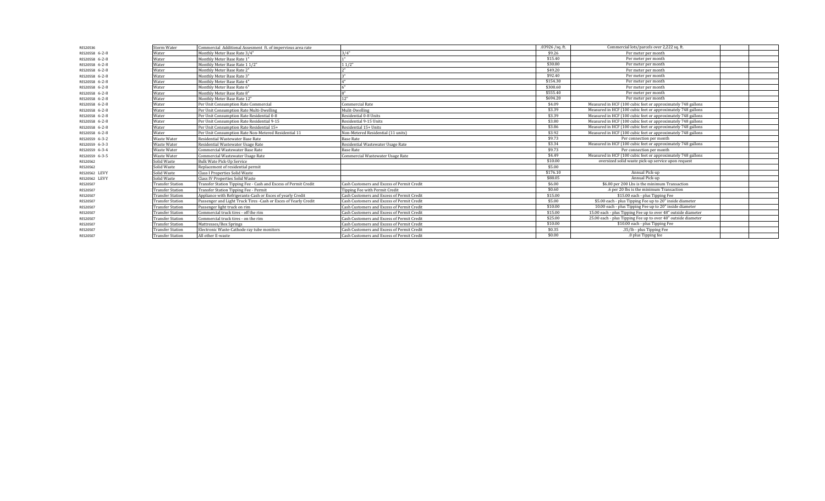| RES20536       | <b>Storm Water</b>      | Commercial Additional Assesment ft. of impervious area rate      |                                            | $.03926$ /sq. ft. | Commercial lots/parcels over 2,222 sq. ft.                    |
|----------------|-------------------------|------------------------------------------------------------------|--------------------------------------------|-------------------|---------------------------------------------------------------|
| RES20558 6-2-8 | Water                   | Monthly Meter Base Rate 3/4"                                     | 3/4"                                       | \$9.26            | Per meter per month                                           |
| RES20558 6-2-8 | Water                   | Monthly Meter Base Rate 1"                                       |                                            | \$15.40           | Per meter per month                                           |
| RES20558 6-2-8 | Water                   | Monthly Meter Base Rate 1 1/2"                                   | 11/2"                                      | \$30.80           | Per meter per month                                           |
| RES20558 6-2-8 | Water                   | Monthly Meter Base Rate 2"                                       |                                            | \$49.20           | Per meter per month                                           |
| RES20558 6-2-8 | Water                   | Monthly Meter Base Rate 3"                                       |                                            | \$92.40           | Per meter per month                                           |
| RES20558 6-2-8 | Water                   | Monthly Meter Base Rate 4"                                       |                                            | \$154.30          | Per meter per month                                           |
| RES20558 6-2-8 | Water                   | Monthly Meter Base Rate 6"                                       |                                            | \$308.60          | Per meter per month                                           |
| RES20558 6-2-8 | Water                   | Monthly Meter Base Rate 8"                                       |                                            | \$555.40          | Per meter per month                                           |
| RES20558 6-2-8 | Water                   | Monthly Meter Base Rate 12"                                      | 12"                                        | \$694.20          | Per meter per month                                           |
| RES20558 6-2-8 | Water                   | Per Unit Consumption Rate Commercial                             | Commercial Rate                            | \$4.09            | Measured in HCF (100 cubic feet or approximately 748 gallons  |
| RES20558 6-2-8 | Water                   | Per Unit Consumption Rate Multi-Dwelling                         | Mulit-Dwelling                             | \$3.39            | Measured in HCF (100 cubic feet or approximately 748 gallons  |
| RES20558 6-2-8 | Water                   | Per Unit Consumption Rate Residential 0-8                        | Residential 0-8 Units                      | \$3.39            | Measured in HCF (100 cubic feet or approximately 748 gallons  |
| RES20558 6-2-8 | Water                   | Per Unit Consumption Rate Residential 9-15                       | Residential 9-15 Units                     | \$3.80            | Measured in HCF (100 cubic feet or approximately 748 gallons  |
| RES20558 6-2-8 | Water                   | Per Unit Consumption Rate Residential 15+                        | Residential 15+ Units                      | \$3.86            | Measured in HCF (100 cubic feet or approximately 748 gallons  |
| RES20558 6-2-8 | Water                   | Per Unit Consumption Rate Non-Metered Residential 11             | Non-Metered Residential (11 units)         | \$3.92            | Measured in HCF (100 cubic feet or approximately 748 gallons  |
| RES20559 6-3-2 | Waste Water             | Residential Wastewater Base Rate                                 | <b>Base Rate</b>                           | \$9.73            | Per connection per month                                      |
| RES20559 6-3-3 | Waste Water             | Residential Wastewater Usage Rate                                | Residential Wastewater Usage Rate          | \$3.34            | Measured in HCF (100 cubic feet or approximately 748 gallons  |
| RES20559 6-3-4 | <b>Waste Water</b>      | Commercial Wastewater Base Rate                                  | <b>Base Rate</b>                           | \$9.73            | Per connection per month                                      |
| RES20559 6-3-5 | <b>Waste Water</b>      | Commercial Wastewater Usage Rate                                 | Commercial Wastewater Usage Rate           | \$4.49            | Measured in HCF (100 cubic feet or approximately 748 gallons  |
| RES20562       | Solid Waste             | <b>Bulk Wate Pick-Up Service</b>                                 |                                            | \$10.00           | oversized solid waste pick-up service upon request            |
| RES20562       | Solid Waste             | Replacement of residential permit                                |                                            | \$5.00            |                                                               |
| RES20562 LEVY  | olid Waste              | <b>Class I Properties Solid Waste</b>                            |                                            | \$176.10          | Annual Pick-up                                                |
| RES20562 LEVY  | Solid Waste             | Class IV Properties Solid Waste                                  |                                            | \$88.05           | Annual Pick-up                                                |
| RES20507       | <b>Transfer Station</b> | Transfer Station Tipping Fee - Cash and Excess of Permit Credit  | Cash Customers and Excess of Permit Credit | \$6.00            | \$6.00 per 200 Lbs is the minimum Transaction                 |
| RES20507       | <b>Transfer Station</b> | Transfer Station Tipping Fee - Permit                            | Tipping Fee with Permit Credit             | \$0.60            | .6 per 20 lbs is the minimum Transaction                      |
| RES20507       | <b>Transfer Station</b> | Appliance with Refrigerants-Cash or Exces of yearly Credit       | Cash Customers and Excess of Permit Credit | \$15.00           | \$15.00 each - plus Tipping Fee                               |
| RES20507       | <b>Transfer Station</b> | Passenger and Light Truck Tires - Cash or Exces of Yearly Credit | Cash Customers and Excess of Permit Credit | \$5.00            | \$5.00 each - plus Tipping Fee up to 20" inside diameter      |
| RES20507       | ransfer Station         | Passenger light truck on rim                                     | Cash Customers and Excess of Permit Credit | \$10.00           | 10.00 each - plus Tipping Fee up to 20" inside diameter       |
| RES20507       | <b>Transfer Station</b> | Commercial truck tires - off the rim                             | Cash Customers and Excess of Permit Credit | \$15.00           | 15.00 each - plus Tipping Fee up to over 48" outside diameter |
| RES20507       | <b>Transfer Station</b> | Commercial truck tires - on the rim                              | Cash Customers and Excess of Permit Credit | \$25.00           | 25.00 each - plus Tipping Fee up to over 48" outside diameter |
| RES20507       | <b>Transfer Station</b> | Mattresses/Box Springs                                           | Cash Customers and Excess of Permit Credit | \$10.00           | \$10.00 each - plus Tipping Fee                               |
| RES20507       | <b>Transfer Station</b> | Electronic Waste-Cathode ray tube monitors                       | Cash Customers and Excess of Permit Credit | \$0.35            | .35/lb - plus Tipping Fee                                     |
| RES20507       | ransfer Station         | All other E-waste                                                | Cash Customers and Excess of Permit Credit | \$0.00            | .0 plus Tipping fee                                           |